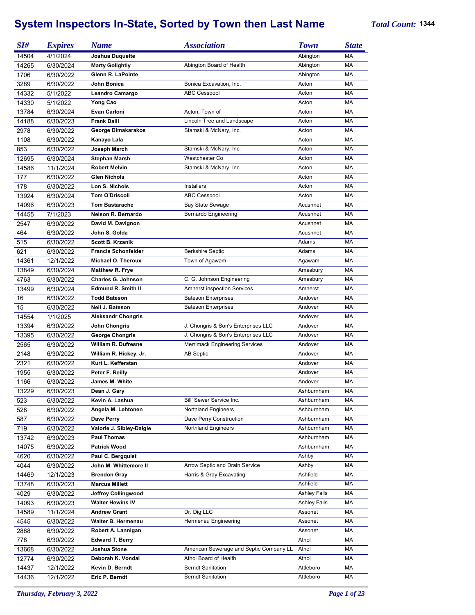## **System Inspectors In-State, Sorted by Town then Last Name** *Total Count:* **<sup>1344</sup>**

| SI#        | <b>Expires</b> | <b>Name</b>                | <b>Association</b>                      | <b>Town</b>         | <b>State</b> |
|------------|----------------|----------------------------|-----------------------------------------|---------------------|--------------|
| 14504      | 4/1/2024       | Joshua Duquette            |                                         | Abington            | МA           |
| 14265      | 6/30/2024      | <b>Marty Golightly</b>     | Abington Board of Health                | Abington            | МA           |
| 1706       | 6/30/2022      | Glenn R. LaPointe          |                                         | Abington            | МA           |
| 3289       | 6/30/2022      | John Bonica                | Bonica Excavation, Inc.                 | Acton               | MA           |
| 14332      | 5/1/2022       | Leandro Camargo            | <b>ABC Cesspool</b>                     | Acton               | MA           |
| 14330      | 5/1/2022       | Yong Cao                   |                                         | Acton               | MA           |
| 13784      | 6/30/2024      | Evan Carloni               | Acton, Town of                          | Acton               | MA           |
| 14188      | 6/30/2023      | <b>Frank Dalli</b>         | Lincoln Tree and Landscape              | Acton               | MA           |
| 2978       | 6/30/2022      | George Dimakarakos         | Stamski & McNary, Inc.                  | Acton               | MA           |
| 1108       | 6/30/2022      | Kanayo Lala                |                                         | Acton               | MA           |
| 853        | 6/30/2022      | Joseph March               | Stamski & McNary, Inc.                  | Acton               | MA           |
| 12695      | 6/30/2024      | <b>Stephan Marsh</b>       | Westchester Co                          | Acton               | MA           |
|            |                |                            |                                         |                     | MA           |
| 14586      | 11/1/2024      | <b>Robert Melvin</b>       | Stamski & McNary, Inc.                  | Acton               |              |
| 177        | 6/30/2022      | <b>Glen Nichols</b>        |                                         | Acton               | MA           |
| 178        | 6/30/2022      | Lon S. Nichols             | <b>Installers</b>                       | Acton               | MA           |
| 13924      | 6/30/2024      | <b>Tom O'Driscoll</b>      | <b>ABC Cesspool</b>                     | Acton               | МA           |
| 14096      | 6/30/2023      | <b>Tom Bastarache</b>      | <b>Bay State Sewage</b>                 | Acushnet            | MA           |
| 14455      | 7/1/2023       | Nelson R. Bernardo         | Bernardo Engineering                    | Acushnet            | MA           |
| 2547       | 6/30/2022      | David M. Davignon          |                                         | Acushnet            | MA           |
| 464        | 6/30/2022      | John S. Golda              |                                         | Acushnet            | МA           |
| 515        | 6/30/2022      | <b>Scott B. Krzanik</b>    |                                         | Adams               | MA           |
| 621        | 6/30/2022      | <b>Francis Schonfelder</b> | <b>Berkshire Septic</b>                 | Adams               | MA           |
| 14361      | 12/1/2022      | Michael O. Theroux         | Town of Agawam                          | Agawam              | MA           |
| 13849      | 6/30/2024      | <b>Matthew R. Frye</b>     |                                         | Amesbury            | МA           |
| 4763       | 6/30/2022      | <b>Charles G. Johnson</b>  | C. G. Johnson Engineering               | Amesbury            | MA           |
| 13499      | 6/30/2024      | <b>Edmund R. Smith II</b>  | <b>Amherst inspection Services</b>      | Amherst             | MA           |
| 16         | 6/30/2022      | <b>Todd Bateson</b>        | <b>Bateson Enterprises</b>              | Andover             | MA           |
| 15         | 6/30/2022      | Neil J. Bateson            | <b>Bateson Enterprises</b>              | Andover             | MA           |
| 14554      | 1/1/2025       | <b>Aleksandr Chongris</b>  |                                         | Andover             | MA           |
| 13394      | 6/30/2022      | John Chongris              | J. Chongris & Son's Enterprises LLC     | Andover             | MA           |
| 13395      | 6/30/2022      | <b>George Chongris</b>     | J. Chongris & Son's Enterprises LLC     | Andover             | MA           |
| 2565       | 6/30/2022      | <b>William R. Dufresne</b> | <b>Merrimack Engineering Services</b>   | Andover             | MA           |
| 2148       | 6/30/2022      | William R. Hickey, Jr.     | <b>AB Septic</b>                        | Andover             | MA           |
| 2321       | 6/30/2022      | Kurt L. Kefferstan         |                                         | Andover             | MA           |
| 1955       | 6/30/2022      | Peter F. Reilly            |                                         | Andover             | MA           |
| 1166       | 6/30/2022      | James M. White             |                                         | Andover             | MA           |
| 13229      | 6/30/2023      | Dean J. Gary               |                                         | Ashburnham          | MA           |
| 523        | 6/30/2022      | Kevin A. Lashua            | Bill' Sewer Service Inc.                | Ashburnham          | МA           |
|            |                | Angela M. Lehtonen         | Northland Engineers                     | Ashburnham          | МA           |
| 528<br>587 | 6/30/2022      | Dave Perry                 | Dave Perry Construction                 | Ashburnham          | МA           |
|            | 6/30/2022      |                            |                                         |                     |              |
| 719        | 6/30/2022      | Valorie J. Sibley-Daigle   | <b>Northland Engineers</b>              | Ashburnham          | МA           |
| 13742      | 6/30/2023      | <b>Paul Thomas</b>         |                                         | Ashburnham          | МA           |
| 14075      | 6/30/2022      | <b>Patrick Wood</b>        |                                         | Ashburnham          | МA           |
| 4620       | 6/30/2022      | Paul C. Bergquist          |                                         | Ashby               | МA           |
| 4044       | 6/30/2022      | John M. Whittemore II      | Arrow Septic and Drain Service          | Ashby               | МA           |
| 14469      | 12/1/2023      | <b>Brendon Gray</b>        | Harris & Gray Excavating                | Ashfield            | MA           |
| 13748      | 6/30/2023      | <b>Marcus Millett</b>      |                                         | Ashfield            | МA           |
| 4029       | 6/30/2022      | Jeffrey Collingwood        |                                         | <b>Ashley Falls</b> | MA           |
| 14093      | 6/30/2023      | <b>Walter Hewins IV</b>    |                                         | <b>Ashley Falls</b> | MA           |
| 14589      | 11/1/2024      | <b>Andrew Grant</b>        | Dr. Dig LLC                             | Assonet             | MA           |
| 4545       | 6/30/2022      | Walter B. Hermenau         | Hermenau Engineering                    | Assonet             | МA           |
| 2888       | 6/30/2022      | Robert A. Lannigan         |                                         | Assonet             | МA           |
| 778        | 6/30/2022      | <b>Edward T. Berry</b>     |                                         | Athol               | МA           |
| 13668      | 6/30/2022      | Joshua Stone               | American Sewerage and Septic Company LL | Athol               | MA           |
| 12774      | 6/30/2022      | Deborah K. Vondal          | Athol Board of Health                   | Athol               | МA           |
| 14437      | 12/1/2022      | Kevin D. Berndt            | <b>Berndt Sanitation</b>                | Attleboro           | MA           |
| 14436      | 12/1/2022      | Eric P. Berndt             | <b>Berndt Sanitation</b>                | Attleboro           | МA           |
|            |                |                            |                                         |                     |              |

*Thursday, February 3, 2022 Page 1 of 23*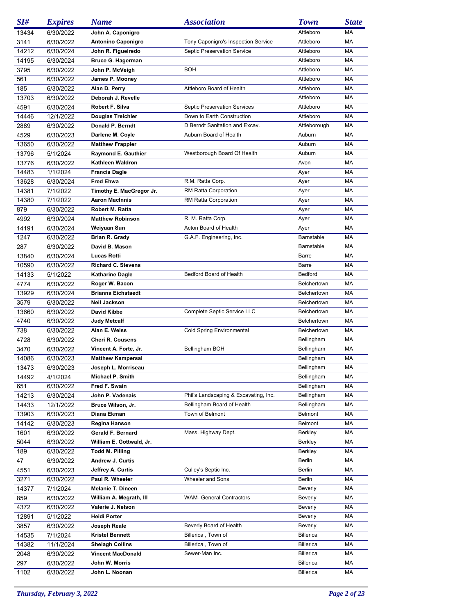| SI#   | <b>Expires</b> | <b>Name</b>               | <b>Association</b>                    | <b>Town</b>      | <b>State</b> |
|-------|----------------|---------------------------|---------------------------------------|------------------|--------------|
| 13434 | 6/30/2022      | John A. Caponigro         |                                       | Attleboro        | МA           |
| 3141  | 6/30/2022      | Antonino Caponigro        | Tony Caponigro's Inspection Service   | Attleboro        | МA           |
| 14212 | 6/30/2024      | John R. Figueiredo        | Septic Preservation Service           | Attleboro        | МA           |
| 14195 | 6/30/2024      | <b>Bruce G. Hagerman</b>  |                                       | Attleboro        | МA           |
| 3795  | 6/30/2022      | John P. McVeigh           | BOH                                   | Attleboro        | МA           |
| 561   | 6/30/2022      | James P. Mooney           |                                       | Attleboro        | МA           |
| 185   | 6/30/2022      | Alan D. Perry             | Attleboro Board of Health             | Attleboro        | MA           |
| 13703 | 6/30/2022      | Deborah J. Revelle        |                                       | Attleboro        | МA           |
| 4591  | 6/30/2024      | <b>Robert F. Silva</b>    | <b>Septic Preservation Services</b>   | Attleboro        | MA           |
| 14446 | 12/1/2022      | Douglas Treichler         | Down to Earth Construction            | Attleboro        | МA           |
| 2889  | 6/30/2022      | Donald P. Berndt          | D Berndt Sanitation and Excav.        | Attleborough     | MA           |
|       |                |                           | Auburn Board of Health                |                  | МA           |
| 4529  | 6/30/2023      | Darlene M. Coyle          |                                       | Auburn           |              |
| 13650 | 6/30/2022      | <b>Matthew Frappier</b>   |                                       | Auburn           | МA           |
| 13796 | 5/1/2024       | Raymond E. Gauthier       | Westborough Board Of Health           | Auburn           | МA           |
| 13776 | 6/30/2022      | Kathleen Waldron          |                                       | Avon             | МA           |
| 14483 | 1/1/2024       | <b>Francis Dagle</b>      |                                       | Ayer             | МA           |
| 13628 | 6/30/2024      | <b>Fred Ehwa</b>          | R.M. Ratta Corp.                      | Ayer             | МA           |
| 14381 | 7/1/2022       | Timothy E. MacGregor Jr.  | RM Ratta Corporation                  | Ayer             | МA           |
| 14380 | 7/1/2022       | <b>Aaron MacInnis</b>     | RM Ratta Corporation                  | Ayer             | МA           |
| 879   | 6/30/2022      | Robert M. Ratta           |                                       | Ayer             | МA           |
| 4992  | 6/30/2024      | <b>Matthew Robinson</b>   | R. M. Ratta Corp.                     | Ayer             | МA           |
| 14191 | 6/30/2024      | Weiyuan Sun               | Acton Board of Health                 | Ayer             | МA           |
| 1247  | 6/30/2022      | Brian R. Grady            | G.A.F. Engineering, Inc.              | Barnstable       | МA           |
| 287   | 6/30/2022      | David B. Mason            |                                       | Barnstable       | МA           |
| 13840 | 6/30/2024      | <b>Lucas Rotti</b>        |                                       | Barre            | МA           |
| 10590 | 6/30/2022      | <b>Richard C. Stevens</b> |                                       | Barre            | МA           |
| 14133 | 5/1/2022       | <b>Katharine Dagle</b>    | Bedford Board of Health               | Bedford          | МA           |
| 4774  | 6/30/2022      | Roger W. Bacon            |                                       | Belchertown      | МA           |
| 13929 | 6/30/2024      | <b>Brianna Eichstaedt</b> |                                       | Belchertown      | МA           |
| 3579  | 6/30/2022      | Neil Jackson              |                                       | Belchertown      | МA           |
| 13660 | 6/30/2022      | David Kibbe               | Complete Septic Service LLC           | Belchertown      | МA           |
| 4740  | 6/30/2022      | <b>Judy Metcalf</b>       |                                       | Belchertown      | МA           |
| 738   | 6/30/2022      | Alan E. Weiss             | <b>Cold Spring Environmental</b>      | Belchertown      | МA           |
| 4728  | 6/30/2022      | <b>Cheri R. Cousens</b>   |                                       | Bellingham       | МA           |
| 3470  | 6/30/2022      | Vincent A. Forte, Jr.     | Bellingham BOH                        | Bellingham       | МA           |
| 14086 | 6/30/2023      | <b>Matthew Kampersal</b>  |                                       | Bellingham       | МA           |
| 13473 | 6/30/2023      | Joseph L. Morriseau       |                                       | Bellingham       | MA           |
| 14492 | 4/1/2024       | Michael P. Smith          |                                       | Bellingham       | МA           |
|       | 6/30/2022      | Fred F. Swain             |                                       | Bellingham       | МA           |
| 651   |                | John P. Vadenais          | Phil's Landscaping & Excavating, Inc. | Bellingham       | МA           |
| 14213 | 6/30/2024      |                           |                                       |                  |              |
| 14433 | 12/1/2022      | Bruce Wilson, Jr.         | Bellingham Board of Health            | Bellingham       | МA           |
| 13903 | 6/30/2023      | Diana Ekman               | Town of Belmont                       | Belmont          | МA           |
| 14142 | 6/30/2023      | Regina Hanson             |                                       | Belmont          | МA           |
| 1601  | 6/30/2022      | Gerald F. Bernard         | Mass. Highway Dept.                   | Berkley          | МA           |
| 5044  | 6/30/2022      | William E. Gottwald, Jr.  |                                       | Berkley          | МA           |
| 189   | 6/30/2022      | Todd M. Pilling           |                                       | Berkley          | МA           |
| 47    | 6/30/2022      | Andrew J. Curtis          |                                       | Berlin           | МA           |
| 4551  | 6/30/2023      | Jeffrey A. Curtis         | Culley's Septic Inc.                  | Berlin           | МA           |
| 3271  | 6/30/2022      | Paul R. Wheeler           | Wheeler and Sons                      | Berlin           | МA           |
| 14377 | 7/1/2024       | <b>Melanie T. Dineen</b>  |                                       | Beverly          | МA           |
| 859   | 6/30/2022      | William A. Megrath, III   | <b>WAM- General Contractors</b>       | Beverly          | МA           |
| 4372  | 6/30/2022      | Valerie J. Nelson         |                                       | Beverly          | МA           |
| 12891 | 5/1/2022       | Heidi Porter              |                                       | Beverly          | МA           |
| 3857  | 6/30/2022      | Joseph Reale              | Beverly Board of Health               | Beverly          | МA           |
| 14535 | 7/1/2024       | <b>Kristel Bennett</b>    | Billerica, Town of                    | Billerica        | МA           |
| 14382 | 11/1/2024      | <b>Shelagh Collins</b>    | Billerica, Town of                    | Billerica        | МA           |
| 2048  | 6/30/2022      | <b>Vincent MacDonald</b>  | Sewer-Man Inc.                        | Billerica        | МA           |
| 297   | 6/30/2022      | John W. Morris            |                                       | Billerica        | МA           |
| 1102  | 6/30/2022      | John L. Noonan            |                                       | <b>Billerica</b> | МA           |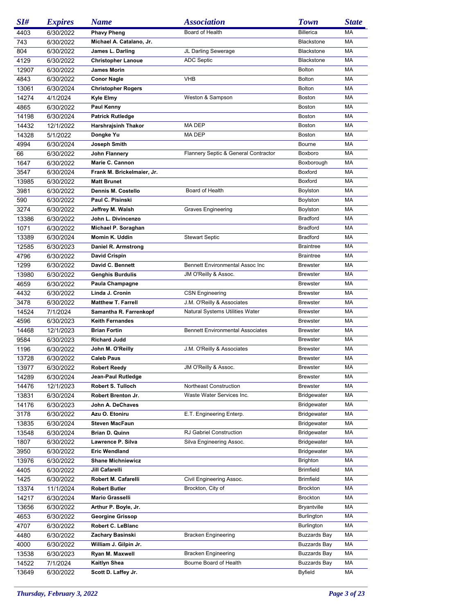| SI#   | <b>Expires</b> | <b>Name</b>                | <b>Association</b>                      | <b>Town</b>           | <b>State</b> |
|-------|----------------|----------------------------|-----------------------------------------|-----------------------|--------------|
| 4403  | 6/30/2022      | <b>Phavy Pheng</b>         | Board of Health                         | <b>Billerica</b>      | МA           |
| 743   | 6/30/2022      | Michael A. Catalano, Jr.   |                                         | <b>Blackstone</b>     | MA           |
| 804   | 6/30/2022      | James L. Darling           | JL Darling Sewerage                     | <b>Blackstone</b>     | МA           |
| 4129  | 6/30/2022      | <b>Christopher Lanoue</b>  | <b>ADC Septic</b>                       | <b>Blackstone</b>     | МA           |
| 12907 | 6/30/2022      | <b>James Morin</b>         |                                         | <b>Bolton</b>         | МA           |
| 4843  | 6/30/2022      | <b>Conor Nagle</b>         | <b>VHB</b>                              | <b>Bolton</b>         | МA           |
| 13061 | 6/30/2024      | <b>Christopher Rogers</b>  |                                         | <b>Bolton</b>         | МA           |
| 14274 | 4/1/2024       | Kyle Elmy                  | Weston & Sampson                        | Boston                | МA           |
| 4865  | 6/30/2022      | Paul Kenny                 |                                         | <b>Boston</b>         | МA           |
| 14198 | 6/30/2024      | <b>Patrick Rutledge</b>    |                                         | Boston                | МA           |
| 14432 | 12/1/2022      | Harshrajsinh Thakor        | MA DEP                                  | Boston                | МA           |
| 14328 | 5/1/2022       | Dongke Yu                  | MA DEP                                  | Boston                | МA           |
| 4994  | 6/30/2024      | Joseph Smith               |                                         | Bourne                | МA           |
| 66    |                | John Flannery              | Flannery Septic & General Contractor    | Boxboro               | МA           |
|       | 6/30/2022      | Marie C. Cannon            |                                         |                       | МA           |
| 1647  | 6/30/2022      |                            |                                         | Boxborough<br>Boxford | МA           |
| 3547  | 6/30/2024      | Frank M. Brickelmaier, Jr. |                                         |                       |              |
| 13985 | 6/30/2022      | <b>Matt Brunet</b>         |                                         | Boxford               | МA           |
| 3981  | 6/30/2022      | Dennis M. Costello         | Board of Health                         | Boylston              | МA           |
| 590   | 6/30/2022      | Paul C. Pisinski           |                                         | Boylston              | МA           |
| 3274  | 6/30/2022      | Jeffrey M. Walsh           | <b>Graves Engineering</b>               | Boylston              | МA           |
| 13386 | 6/30/2022      | John L. Divincenzo         |                                         | <b>Bradford</b>       | МA           |
| 1071  | 6/30/2022      | Michael P. Soraghan        |                                         | <b>Bradford</b>       | МA           |
| 13389 | 6/30/2024      | Momin K. Uddin             | <b>Stewart Septic</b>                   | <b>Bradford</b>       | МA           |
| 12585 | 6/30/2023      | Daniel R. Armstrong        |                                         | <b>Braintree</b>      | МA           |
| 4796  | 6/30/2022      | <b>David Crispin</b>       |                                         | <b>Braintree</b>      | МA           |
| 1299  | 6/30/2022      | David C. Bennett           | Bennett Environmental Assoc Inc         | <b>Brewster</b>       | МA           |
| 13980 | 6/30/2022      | <b>Genghis Burdulis</b>    | JM O'Reilly & Assoc.                    | <b>Brewster</b>       | МA           |
| 4659  | 6/30/2022      | Paula Champagne            |                                         | <b>Brewster</b>       | МA           |
| 4432  | 6/30/2022      | Linda J. Cronin            | <b>CSN Engineering</b>                  | <b>Brewster</b>       | МA           |
| 3478  | 6/30/2022      | <b>Matthew T. Farrell</b>  | J.M. O'Reilly & Associates              | <b>Brewster</b>       | МA           |
| 14524 | 7/1/2024       | Samantha R. Farrenkopf     | Natural Systems Utilities Water         | <b>Brewster</b>       | МA           |
| 4596  | 6/30/2023      | <b>Keith Fernandes</b>     |                                         | <b>Brewster</b>       | МA           |
| 14468 | 12/1/2023      | <b>Brian Fortin</b>        | <b>Bennett Environmental Associates</b> | <b>Brewster</b>       | МA           |
| 9584  | 6/30/2023      | <b>Richard Judd</b>        |                                         | <b>Brewster</b>       | МA           |
| 1196  | 6/30/2022      | John M. O'Reilly           | J.M. O'Reilly & Associates              | <b>Brewster</b>       | MA           |
| 13728 | 6/30/2022      | <b>Caleb Paus</b>          |                                         | <b>Brewster</b>       | МA           |
| 13977 | 6/30/2022      | <b>Robert Reedy</b>        | JM O'Reilly & Assoc.                    | <b>Brewster</b>       | MA           |
| 14289 | 6/30/2024      | Jean-Paul Rutledge         |                                         | <b>Brewster</b>       | МA           |
| 14476 | 12/1/2023      | Robert S. Tulloch          | Northeast Construction                  | <b>Brewster</b>       | МA           |
| 13831 | 6/30/2024      | Robert Brenton Jr.         | Waste Water Services Inc.               | <b>Bridgewater</b>    | МA           |
| 14176 | 6/30/2023      | John A. DeChaves           |                                         | Bridgewater           | МA           |
| 3178  | 6/30/2022      | Azu O. Etoniru             | E.T. Engineering Enterp.                | Bridgewater           | МA           |
| 13835 | 6/30/2024      | <b>Steven MacFaun</b>      |                                         | Bridgewater           | МA           |
| 13548 | 6/30/2024      | Brian D. Quinn             | RJ Gabriel Construction                 | Bridgewater           | МA           |
| 1807  | 6/30/2022      | Lawrence P. Silva          | Silva Engineering Assoc.                | Bridgewater           | МA           |
| 3950  | 6/30/2022      | <b>Eric Wendland</b>       |                                         | <b>Bridgewater</b>    | МA           |
|       |                | <b>Shane Michniewicz</b>   |                                         | Brighton              | МA           |
| 13976 | 6/30/2022      |                            |                                         |                       |              |
| 4405  | 6/30/2022      | Jill Cafarelli             |                                         | <b>Brimfield</b>      | МA           |
| 1425  | 6/30/2022      | Robert M. Cafarelli        | Civil Engineering Assoc.                | <b>Brimfield</b>      | МA           |
| 13374 | 11/1/2024      | <b>Robert Butler</b>       | Brockton, City of                       | <b>Brockton</b>       | МA           |
| 14217 | 6/30/2024      | Mario Grasselli            |                                         | Brockton              | МA           |
| 13656 | 6/30/2022      | Arthur P. Boyle, Jr.       |                                         | <b>Bryantville</b>    | МA           |
| 4653  | 6/30/2022      | <b>Georgine Grissop</b>    |                                         | Burlington            | МA           |
| 4707  | 6/30/2022      | Robert C. LeBlanc          |                                         | <b>Burlington</b>     | МA           |
| 4480  | 6/30/2022      | Zachary Basinski           | <b>Bracken Engineering</b>              | <b>Buzzards Bay</b>   | МA           |
| 4000  | 6/30/2022      | William J. Gilpin Jr.      |                                         | <b>Buzzards Bay</b>   | МA           |
| 13538 | 6/30/2023      | Ryan M. Maxwell            | <b>Bracken Engineering</b>              | <b>Buzzards Bay</b>   | МA           |
| 14522 | 7/1/2024       | Kaitlyn Shea               | Bourne Board of Health                  | <b>Buzzards Bay</b>   | МA           |
| 13649 | 6/30/2022      | Scott D. Laffey Jr.        |                                         | Byfield               | МA           |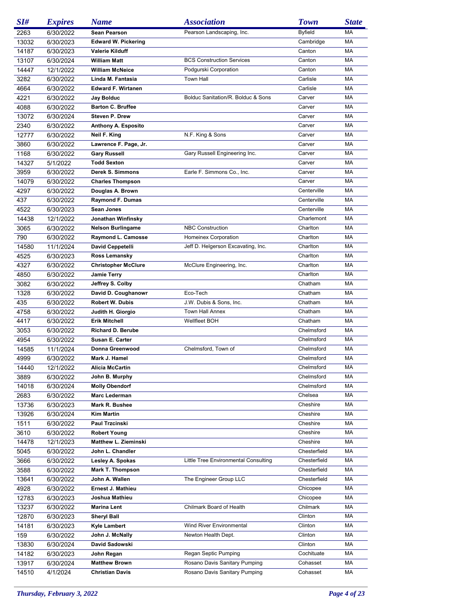| SI#   | <b>Expires</b>         | <b>Name</b>                                        | <b>Association</b>                   | <b>Town</b>    | <b>State</b> |
|-------|------------------------|----------------------------------------------------|--------------------------------------|----------------|--------------|
| 2263  | 6/30/2022              | <b>Sean Pearson</b>                                | Pearson Landscaping, Inc.            | <b>Byfield</b> | МA           |
| 13032 | 6/30/2023              | <b>Edward W. Pickering</b>                         |                                      | Cambridge      | MA           |
| 14187 | 6/30/2023              | <b>Valerie Kilduff</b>                             |                                      | Canton         | MA           |
| 13107 | 6/30/2024              | <b>William Matt</b>                                | <b>BCS Construction Services</b>     | Canton         | МA           |
| 14447 | 12/1/2022              | <b>William McNeice</b>                             | Podgurski Corporation                | Canton         | MA           |
| 3282  | 6/30/2022              | Linda M. Fantasia                                  | <b>Town Hall</b>                     | Carlisle       | МA           |
| 4664  | 6/30/2022              | <b>Edward F. Wirtanen</b>                          |                                      | Carlisle       | МA           |
| 4221  | 6/30/2022              | Jay Bolduc                                         | Bolduc Sanitation/R. Bolduc & Sons   | Carver         | MA           |
| 4088  | 6/30/2022              | <b>Barton C. Bruffee</b>                           |                                      | Carver         | MA           |
| 13072 | 6/30/2024              | Steven P. Drew                                     |                                      | Carver         | МA           |
| 2340  | 6/30/2022              | Anthony A. Esposito                                |                                      | Carver         | MA           |
|       |                        |                                                    |                                      | Carver         | MA           |
| 12777 | 6/30/2022              | Neil F. King                                       | N.F. King & Sons                     |                |              |
| 3860  | 6/30/2022              | Lawrence F. Page, Jr.                              |                                      | Carver         | МA           |
| 1168  | 6/30/2022              | <b>Gary Russell</b>                                | Gary Russell Engineering Inc.        | Carver         | МA           |
| 14327 | 5/1/2022               | <b>Todd Sexton</b>                                 |                                      | Carver         | MA           |
| 3959  | 6/30/2022              | <b>Derek S. Simmons</b>                            | Earle F. Simmons Co., Inc.           | Carver         | МA           |
| 14079 | 6/30/2022              | <b>Charles Thompson</b>                            |                                      | Carver         | МA           |
| 4297  | 6/30/2022              | Douglas A. Brown                                   |                                      | Centerville    | MA           |
| 437   | 6/30/2022              | <b>Raymond F. Dumas</b>                            |                                      | Centerville    | MA           |
| 4522  | 6/30/2023              | Sean Jones                                         |                                      | Centerville    | МA           |
| 14438 | 12/1/2022              | Jonathan Winfinsky                                 |                                      | Charlemont     | MA           |
| 3065  | 6/30/2022              | <b>Nelson Burlingame</b>                           | <b>NBC Construction</b>              | Charlton       | MA           |
| 790   | 6/30/2022              | Raymond L. Camosse                                 | Homeinex Corporation                 | Charlton       | МA           |
| 14580 | 11/1/2024              | <b>David Ceppetelli</b>                            | Jeff D. Helgerson Excavating, Inc.   | Charlton       | MA           |
| 4525  | 6/30/2023              | Ross Lemansky                                      |                                      | Charlton       | MA           |
| 4327  | 6/30/2022              | <b>Christopher McClure</b>                         | McClure Engineering, Inc.            | Charlton       | МA           |
| 4850  | 6/30/2022              | <b>Jamie Terry</b>                                 |                                      | Charlton       | МA           |
| 3082  | 6/30/2022              | Jeffrey S. Colby                                   |                                      | Chatham        | MA           |
| 1328  | 6/30/2022              | David D. Coughanowr                                | Eco-Tech                             | Chatham        | МA           |
| 435   | 6/30/2022              | Robert W. Dubis                                    | J.W. Dubis & Sons, Inc.              | Chatham        | МA           |
| 4758  | 6/30/2022              | Judith H. Giorgio                                  | Town Hall Annex                      | Chatham        | MA           |
| 4417  | 6/30/2022              | <b>Erik Mitchell</b>                               | Wellfleet BOH                        | Chatham        | MA           |
| 3053  | 6/30/2022              | Richard D. Berube                                  |                                      | Chelmsford     | МA           |
| 4954  | 6/30/2022              | Susan E. Carter                                    |                                      | Chelmsford     | MA           |
| 14585 | 11/1/2024              | Donna Greenwood                                    | Chelmsford, Town of                  | Chelmsford     | МA           |
| 4999  | 6/30/2022              | Mark J. Hamel                                      |                                      | Chelmsford     | МA           |
| 14440 | 12/1/2022              | Alicia McCartin                                    |                                      | Chelmsford     | MA           |
| 3889  | 6/30/2022              | John B. Murphy                                     |                                      | Chelmsford     | МA           |
| 14018 | 6/30/2024              | <b>Molly Obendorf</b>                              |                                      | Chelmsford     | МA           |
| 2683  |                        | <b>Marc Lederman</b>                               |                                      | Chelsea        | МA           |
| 13736 | 6/30/2022<br>6/30/2023 | Mark R. Bushee                                     |                                      | Cheshire       | МA           |
| 13926 | 6/30/2024              | <b>Kim Martin</b>                                  |                                      | Cheshire       | МA           |
| 1511  |                        | Paul Trzcinski                                     |                                      | Cheshire       | МA           |
|       | 6/30/2022              |                                                    |                                      | Cheshire       | МA           |
| 3610  | 6/30/2022              | <b>Robert Young</b><br><b>Matthew L. Zieminski</b> |                                      |                |              |
| 14478 | 12/1/2023              |                                                    |                                      | Cheshire       | МA           |
| 5045  | 6/30/2022              | John L. Chandler                                   |                                      | Chesterfield   | МA           |
| 3666  | 6/30/2022              | Lesley A. Spokas                                   | Little Tree Environmental Consulting | Chesterfield   | МA           |
| 3588  | 6/30/2022              | Mark T. Thompson                                   |                                      | Chesterfield   | МA           |
| 13641 | 6/30/2022              | John A. Wallen                                     | The Engineer Group LLC               | Chesterfield   | МA           |
| 4928  | 6/30/2022              | Ernest J. Mathieu                                  |                                      | Chicopee       | МA           |
| 12783 | 6/30/2023              | Joshua Mathieu                                     |                                      | Chicopee       | МA           |
| 13237 | 6/30/2022              | <b>Marina Lent</b>                                 | Chilmark Board of Health             | Chilmark       | МA           |
| 12870 | 6/30/2023              | <b>Sheryl Ball</b>                                 |                                      | Clinton        | МA           |
| 14181 | 6/30/2023              | Kyle Lambert                                       | Wind River Environmental             | Clinton        | МA           |
| 159   | 6/30/2022              | John J. McNally                                    | Newton Health Dept.                  | Clinton        | МA           |
| 13830 | 6/30/2024              | David Sadowski                                     |                                      | Clinton        | МA           |
| 14182 | 6/30/2023              | John Regan                                         | Regan Septic Pumping                 | Cochituate     | МA           |
| 13917 | 6/30/2024              | <b>Matthew Brown</b>                               | Rosano Davis Sanitary Pumping        | Cohasset       | МA           |
| 14510 | 4/1/2024               | <b>Christian Davis</b>                             | Rosano Davis Sanitary Pumping        | Cohasset       | МA           |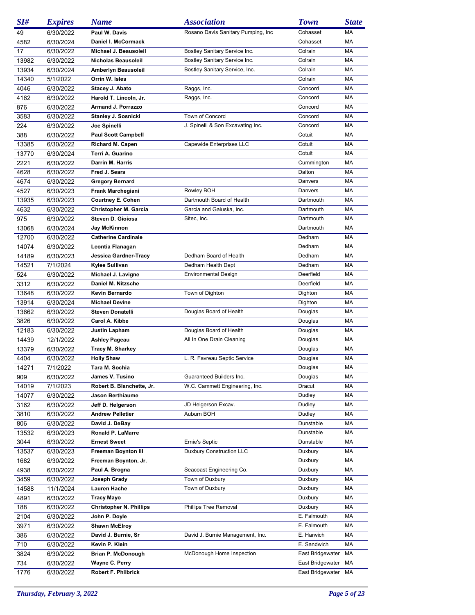| SI#   | <b>Expires</b> | <b>Name</b>                    | <b>Association</b>                  | <b>Town</b>      | <b>State</b> |
|-------|----------------|--------------------------------|-------------------------------------|------------------|--------------|
| 49    | 6/30/2022      | Paul W. Davis                  | Rosano Davis Sanitary Pumping, Inc. | Cohasset         | МA           |
| 4582  | 6/30/2024      | Daniel I. McCormack            |                                     | Cohasset         | МA           |
| 17    | 6/30/2022      | Michael J. Beausoleil          | Bostley Sanitary Service Inc.       | Colrain          | МA           |
| 13982 | 6/30/2022      | Nicholas Beausoleil            | Bostley Sanitary Service Inc.       | Colrain          | МA           |
| 13934 | 6/30/2024      | Amberlyn Beausoleil            | Bostley Sanitary Service, Inc.      | Colrain          | МA           |
| 14340 | 5/1/2022       | Orrin W. Isles                 |                                     | Colrain          | МA           |
| 4046  | 6/30/2022      | Stacey J. Abato                | Raggs, Inc.                         | Concord          | МA           |
| 4162  | 6/30/2022      | Harold T. Lincoln, Jr.         | Raggs, Inc.                         | Concord          | МA           |
| 876   | 6/30/2022      | <b>Armand J. Porrazzo</b>      |                                     | Concord          | МA           |
| 3583  | 6/30/2022      | <b>Stanley J. Sosnicki</b>     | Town of Concord                     | Concord          | МA           |
| 224   | 6/30/2022      | Joe Spinelli                   | J. Spinelli & Son Excavating Inc.   | Concord          | МA           |
| 388   | 6/30/2022      | <b>Paul Scott Campbell</b>     |                                     | Cotuit           | МA           |
| 13385 | 6/30/2022      | Richard M. Capen               | Capewide Enterprises LLC            | Cotuit           | МA           |
| 13770 | 6/30/2024      | Terri A. Guarino               |                                     | Cotuit           | МA           |
| 2221  | 6/30/2022      | Darrin M. Harris               |                                     | Cummington       | МA           |
| 4628  | 6/30/2022      | Fred J. Sears                  |                                     | Dalton           | MA           |
| 4674  | 6/30/2022      | <b>Gregory Bernard</b>         |                                     | Danvers          | МA           |
| 4527  | 6/30/2023      | Frank Marchegiani              | Rowley BOH                          | Danvers          | МA           |
| 13935 | 6/30/2023      | <b>Courtney E. Cohen</b>       | Dartmouth Board of Health           | Dartmouth        | MA           |
| 4632  | 6/30/2022      | <b>Christopher M. Garcia</b>   | Garcia and Galuska, Inc.            | Dartmouth        | МA           |
| 975   | 6/30/2022      | Steven D. Gioiosa              | Sitec, Inc.                         | Dartmouth        | МA           |
| 13068 | 6/30/2024      | Jay McKinnon                   |                                     | Dartmouth        | МA           |
| 12700 | 6/30/2022      | <b>Catherine Cardinale</b>     |                                     | Dedham           | МA           |
| 14074 | 6/30/2022      | Leontia Flanagan               |                                     | Dedham           | MA           |
| 14189 | 6/30/2023      | Jessica Gardner-Tracy          | Dedham Board of Health              | Dedham           | МA           |
| 14521 | 7/1/2024       | Kylee Sullivan                 | Dedham Health Dept                  | Dedham           | MA           |
| 524   | 6/30/2022      | Michael J. Lavigne             | <b>Environmental Design</b>         | Deerfield        | МA           |
| 3312  | 6/30/2022      | Daniel M. Nitzsche             |                                     | Deerfield        | МA           |
| 13648 | 6/30/2022      | Kevin Bernardo                 | Town of Dighton                     | Dighton          | MA           |
| 13914 | 6/30/2024      | <b>Michael Devine</b>          |                                     | Dighton          | МA           |
| 13662 | 6/30/2022      | <b>Steven Donatelli</b>        | Douglas Board of Health             | Douglas          | МA           |
| 3826  | 6/30/2022      | Carol A. Kibbe                 |                                     | Douglas          | MA           |
| 12183 | 6/30/2022      | Justin Lapham                  | Douglas Board of Health             | Douglas          | МA           |
| 14439 | 12/1/2022      | Ashley Pageau                  | All In One Drain Cleaning           | Douglas          | МA           |
| 13379 | 6/30/2022      | Tracy M. Sharkey               |                                     | Douglas          | МA           |
| 4404  | 6/30/2022      | <b>Holly Shaw</b>              | L. R. Favreau Septic Service        | Douglas          | МA           |
| 14271 | 7/1/2022       | Tara M. Sochia                 |                                     | Douglas          | МA           |
| 909   | 6/30/2022      | James V. Tusino                | Guaranteed Builders Inc.            | Douglas          | МA           |
| 14019 | 7/1/2023       | Robert B. Blanchette, Jr.      | W.C. Cammett Engineering, Inc.      | Dracut           | МA           |
| 14077 | 6/30/2022      | <b>Jason Berthiaume</b>        |                                     | Dudley           | МA           |
| 3162  | 6/30/2022      | Jeff D. Helgerson              | JD Helgerson Excav.                 | Dudley           | МA           |
| 3810  | 6/30/2022      | <b>Andrew Pelletier</b>        | Auburn BOH                          | Dudley           | МA           |
| 806   | 6/30/2022      | David J. DeBay                 |                                     | Dunstable        | МA           |
| 13532 | 6/30/2023      | Ronald P. LaMarre              |                                     | Dunstable        | МA           |
| 3044  | 6/30/2022      | <b>Ernest Sweet</b>            | Ernie's Septic                      | Dunstable        | МA           |
| 13537 | 6/30/2023      | <b>Freeman Boynton III</b>     | <b>Duxbury Construction LLC</b>     | Duxbury          | МA           |
| 1682  | 6/30/2022      | Freeman Boynton, Jr.           |                                     | Duxbury          | МA           |
| 4938  | 6/30/2022      | Paul A. Brogna                 | Seacoast Engineering Co.            | Duxbury          | МA           |
| 3459  | 6/30/2022      | Joseph Grady                   | Town of Duxbury                     | Duxbury          | МA           |
| 14588 | 11/1/2024      | Lauren Hache                   | Town of Duxbury                     | Duxbury          | МA           |
| 4891  | 6/30/2022      | Tracy Mayo                     |                                     | Duxbury          | МA           |
| 188   | 6/30/2022      | <b>Christopher N. Phillips</b> | Phillips Tree Removal               | Duxbury          | МA           |
| 2104  | 6/30/2022      | John P. Doyle                  |                                     | E. Falmouth      | МA           |
| 3971  | 6/30/2022      | <b>Shawn McElroy</b>           |                                     | E. Falmouth      | МA           |
| 386   | 6/30/2022      | David J. Burnie, Sr            | David J. Burnie Management, Inc.    | E. Harwich       | МA           |
| 710   | 6/30/2022      | Kevin P. Klein                 |                                     | E. Sandwich      | МA           |
| 3824  | 6/30/2022      | <b>Brian P. McDonough</b>      | McDonough Home Inspection           | East Bridgewater | МA           |
| 734   | 6/30/2022      | Wayne C. Perry                 |                                     | East Bridgewater | МA           |
| 1776  | 6/30/2022      | Robert F. Philbrick            |                                     | East Bridgewater | МA           |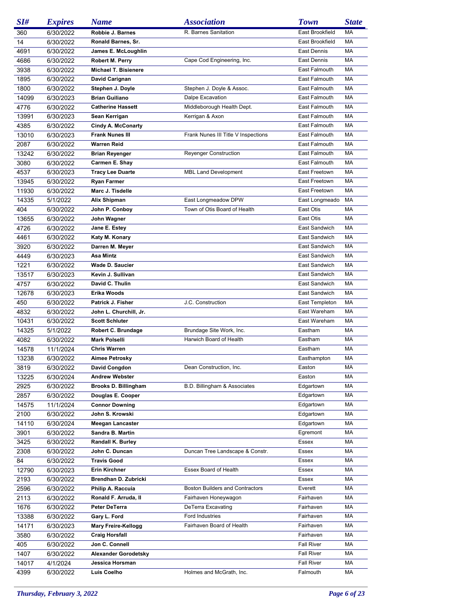| SI#   | <b>Expires</b> | <b>Name</b>                 | <b>Association</b>                     | <b>Town</b>       | <b>State</b> |
|-------|----------------|-----------------------------|----------------------------------------|-------------------|--------------|
| 360   | 6/30/2022      | Robbie J. Barnes            | R. Barnes Sanitation                   | East Brookfield   | МA           |
| 14    | 6/30/2022      | Ronald Barnes, Sr.          |                                        | East Brookfield   | MA           |
| 4691  | 6/30/2022      | James E. McLoughlin         |                                        | East Dennis       | МA           |
| 4686  | 6/30/2022      | Robert M. Perry             | Cape Cod Engineering, Inc.             | East Dennis       | MA           |
| 3938  | 6/30/2022      | Michael T. Bisienere        |                                        | East Falmouth     | МA           |
| 1895  | 6/30/2022      | David Carignan              |                                        | East Falmouth     | МA           |
| 1800  | 6/30/2022      | Stephen J. Doyle            | Stephen J. Doyle & Assoc.              | East Falmouth     | MA           |
| 14099 | 6/30/2023      | <b>Brian Guiliano</b>       | Dalpe Excavation                       | East Falmouth     | MA           |
| 4776  | 6/30/2022      | <b>Catherine Hassett</b>    | Middleborough Health Dept.             | East Falmouth     | MA           |
| 13991 | 6/30/2023      | Sean Kerrigan               | Kerrigan & Axon                        | East Falmouth     | MA           |
| 4385  | 6/30/2022      | <b>Cindy A. McConarty</b>   |                                        | East Falmouth     | MA           |
| 13010 | 6/30/2023      | <b>Frank Nunes III</b>      | Frank Nunes III Title V Inspections    | East Falmouth     | MA           |
| 2087  | 6/30/2022      | <b>Warren Reid</b>          |                                        | East Falmouth     | MA           |
| 13242 | 6/30/2022      | <b>Brian Reyenger</b>       | <b>Reyenger Construction</b>           | East Falmouth     | MA           |
| 3080  | 6/30/2022      | Carmen E. Shay              |                                        | East Falmouth     | MA           |
| 4537  | 6/30/2023      | <b>Tracy Lee Duarte</b>     | <b>MBL Land Development</b>            | East Freetown     | МA           |
| 13945 | 6/30/2022      | <b>Ryan Farmer</b>          |                                        | East Freetown     | MA           |
| 11930 | 6/30/2022      | Marc J. Tisdelle            |                                        | East Freetown     | МA           |
| 14335 | 5/1/2022       | Alix Shipman                | East Longmeadow DPW                    | East Longmeado    | MA           |
| 404   | 6/30/2022      | John P. Conboy              | Town of Otis Board of Health           | East Otis         | MA           |
| 13655 | 6/30/2022      | John Wagner                 |                                        | East Otis         | МA           |
| 4726  | 6/30/2022      | Jane E. Estey               |                                        | East Sandwich     | МA           |
| 4461  | 6/30/2022      | Katy M. Konary              |                                        | East Sandwich     | MA           |
| 3920  | 6/30/2022      | Darren M. Meyer             |                                        | East Sandwich     | MA           |
| 4449  | 6/30/2023      | Asa Mintz                   |                                        | East Sandwich     | MA           |
| 1221  | 6/30/2022      | <b>Wade D. Saucier</b>      |                                        | East Sandwich     | MA           |
| 13517 | 6/30/2023      | Kevin J. Sullivan           |                                        | East Sandwich     | MA           |
| 4757  | 6/30/2022      | David C. Thulin             |                                        | East Sandwich     | МA           |
| 12678 | 6/30/2023      | Erika Woods                 |                                        | East Sandwich     | MA           |
| 450   | 6/30/2022      | Patrick J. Fisher           | J.C. Construction                      | East Templeton    | MA           |
| 4832  | 6/30/2022      | John L. Churchill, Jr.      |                                        | East Wareham      | MA           |
| 10431 | 6/30/2022      | <b>Scott Schluter</b>       |                                        | East Wareham      | MA           |
| 14325 | 5/1/2022       | Robert C. Brundage          | Brundage Site Work, Inc.               | Eastham           | MA           |
| 4082  | 6/30/2022      | <b>Mark Polselli</b>        | Harwich Board of Health                | Eastham           | МA           |
| 14578 | 11/1/2024      | <b>Chris Warren</b>         |                                        | Eastham           | MA           |
| 13238 | 6/30/2022      | Aimee Petrosky              |                                        | Easthampton       | МA           |
| 3819  | 6/30/2022      | David Congdon               | Dean Construction, Inc.                | Easton            | MA           |
| 13225 | 6/30/2024      | <b>Andrew Webster</b>       |                                        | Easton            | МA           |
| 2925  | 6/30/2022      | <b>Brooks D. Billingham</b> | B.D. Billingham & Associates           | Edgartown         | МA           |
| 2857  | 6/30/2022      | Douglas E. Cooper           |                                        | Edgartown         | МA           |
| 14575 | 11/1/2024      | <b>Connor Downing</b>       |                                        | Edgartown         | МA           |
| 2100  | 6/30/2022      | John S. Krowski             |                                        | Edgartown         | МA           |
| 14110 | 6/30/2024      | <b>Meegan Lancaster</b>     |                                        | Edgartown         | МA           |
| 3901  | 6/30/2022      | Sandra B. Martin            |                                        | Egremont          | МA           |
| 3425  | 6/30/2022      | Randall K. Burley           |                                        | Essex             | МA           |
| 2308  | 6/30/2022      | John C. Duncan              | Duncan Tree Landscape & Constr.        | Essex             | МA           |
| 84    | 6/30/2022      | <b>Travis Good</b>          |                                        | Essex             | МA           |
| 12790 | 6/30/2023      | Erin Kirchner               | Essex Board of Health                  | Essex             | МA           |
| 2193  | 6/30/2022      | Brendhan D. Zubricki        |                                        | Essex             | МA           |
| 2596  | 6/30/2022      | Philip A. Raccuia           | <b>Boston Builders and Contractors</b> | Everett           | МA           |
| 2113  | 6/30/2022      | Ronald F. Arruda, II        | Fairhaven Honeywagon                   | Fairhaven         | МA           |
| 1676  | 6/30/2022      | Peter DeTerra               | DeTerra Excavating                     | Fairhaven         | МA           |
| 13388 | 6/30/2022      | Gary L. Ford                | Ford Industries                        | Fairhaven         | МA           |
| 14171 | 6/30/2023      | <b>Mary Freire-Kellogg</b>  | Fairhaven Board of Health              | Fairhaven         | МA           |
| 3580  | 6/30/2022      | <b>Craig Horsfall</b>       |                                        | Fairhaven         | МA           |
| 405   | 6/30/2022      | Jon C. Connell              |                                        | <b>Fall River</b> | МA           |
| 1407  | 6/30/2022      | <b>Alexander Gorodetsky</b> |                                        | <b>Fall River</b> | МA           |
| 14017 | 4/1/2024       | Jessica Horsman             |                                        | <b>Fall River</b> | МA           |
| 4399  | 6/30/2022      | Luis Coelho                 | Holmes and McGrath, Inc.               | Falmouth          | МA           |
|       |                |                             |                                        |                   |              |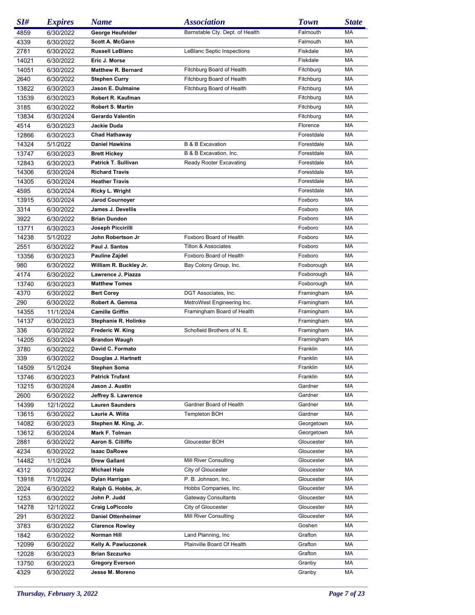| SI#   | <b>Expires</b> | <b>Name</b>               | <b>Association</b>              | <b>Town</b> | <b>State</b> |
|-------|----------------|---------------------------|---------------------------------|-------------|--------------|
| 4859  | 6/30/2022      | George Heufelder          | Barnstable Cty. Dept. of Health | Falmouth    | МA           |
| 4339  | 6/30/2022      | <b>Scott A. McGann</b>    |                                 | Falmouth    | MA           |
| 2781  | 6/30/2022      | <b>Russell LeBlanc</b>    | LeBlanc Septic Inspections      | Fiskdale    | МA           |
| 14021 | 6/30/2022      | Eric J. Morse             |                                 | Fiskdale    | MA           |
| 14051 | 6/30/2022      | <b>Matthew R. Bernard</b> | Fitchburg Board of Health       | Fitchburg   | MA           |
| 2640  | 6/30/2022      | <b>Stephen Curry</b>      | Fitchburg Board of Health       | Fitchburg   | МA           |
| 13822 | 6/30/2023      | Jason E. Dulmaine         | Fitchburg Board of Health       | Fitchburg   | MA           |
| 13539 | 6/30/2023      | Robert R. Kaufman         |                                 | Fitchburg   | MA           |
| 3185  | 6/30/2022      | <b>Robert S. Martin</b>   |                                 | Fitchburg   | МA           |
| 13834 | 6/30/2024      | Gerardo Valentin          |                                 | Fitchburg   | MA           |
| 4514  | 6/30/2023      | Jackie Duda               |                                 | Florence    | MA           |
| 12866 | 6/30/2023      | <b>Chad Hathaway</b>      |                                 | Forestdale  | МA           |
| 14324 | 5/1/2022       | <b>Daniel Hawkins</b>     | <b>B &amp; B Excavation</b>     | Forestdale  | MA           |
| 13747 | 6/30/2023      | <b>Brett Hickey</b>       | B & B Excavation, Inc.          | Forestdale  | МA           |
| 12843 | 6/30/2023      | Patrick T. Sullivan       | Ready Rooter Excavating         | Forestdale  | МA           |
| 14306 | 6/30/2024      | <b>Richard Travis</b>     |                                 | Forestdale  | МA           |
| 14305 | 6/30/2024      | <b>Heather Travis</b>     |                                 | Forestdale  | МA           |
| 4595  | 6/30/2024      | Ricky L. Wright           |                                 | Forestdale  | МA           |
| 13915 | 6/30/2024      | <b>Jarod Cournoyer</b>    |                                 | Foxboro     | МA           |
| 3314  | 6/30/2022      | <b>James J. Devellis</b>  |                                 | Foxboro     | МA           |
| 3922  | 6/30/2022      | <b>Brian Dundon</b>       |                                 | Foxboro     | МA           |
| 13771 | 6/30/2023      | Joseph Piccirilli         |                                 | Foxboro     | МA           |
| 14238 | 5/1/2022       | John Robertson Jr         | Foxboro Board of Health         | Foxboro     | МA           |
| 2551  | 6/30/2022      | Paul J. Santos            | <b>Tilton &amp; Associates</b>  | Foxboro     | МA           |
| 13356 | 6/30/2023      | Pauline Zajdel            | Foxboro Board of Health         | Foxboro     | МA           |
| 980   | 6/30/2022      | William R. Buckley Jr.    | Bay Colony Group, Inc.          | Foxborough  | МA           |
| 4174  | 6/30/2022      | Lawrence J. Piazza        |                                 | Foxborough  | МA           |
| 13740 | 6/30/2023      | <b>Matthew Tomes</b>      |                                 | Foxborough  | МA           |
| 4370  | 6/30/2022      | <b>Bert Corey</b>         | DGT Associates, Inc.            | Framingham  | МA           |
| 290   | 6/30/2022      | Robert A. Gemma           | MetroWest Engineering Inc.      | Framingham  | МA           |
| 14355 | 11/1/2024      | <b>Camille Griffin</b>    | Framingham Board of Health      | Framingham  | МA           |
| 14137 | 6/30/2023      | Stephanie R. Holinko      |                                 | Framingham  | MA           |
| 336   | 6/30/2022      | Frederic W. King          | Schofield Brothers of N. E.     | Framingham  | МA           |
| 14205 | 6/30/2024      | <b>Brandon Waugh</b>      |                                 | Framingham  | МA           |
| 3780  | 6/30/2022      | David C. Formato          |                                 | Franklin    | MA           |
| 339   | 6/30/2022      | Douglas J. Hartnett       |                                 | Franklin    | МA           |
| 14509 | 5/1/2024       | Stephen Soma              |                                 | Franklin    | MA           |
| 13746 | 6/30/2023      | <b>Patrick Trufant</b>    |                                 | Franklin    | МA           |
| 13215 | 6/30/2024      | Jason J. Austin           |                                 | Gardner     | МA           |
| 2600  | 6/30/2022      | Jeffrey S. Lawrence       |                                 | Gardner     | МA           |
| 14399 | 12/1/2022      | <b>Lauren Saunders</b>    | Gardner Board of Health         | Gardner     | МA           |
| 13615 | 6/30/2022      | Laurie A. Wiita           | Templeton BOH                   | Gardner     | МA           |
| 14082 | 6/30/2023      | Stephen M. King, Jr.      |                                 | Georgetown  | МA           |
| 13612 | 6/30/2024      | Mark F. Tolman            |                                 | Georgetown  | МA           |
| 2881  | 6/30/2022      | Aaron S. Cilliffo         | Gloucester BOH                  | Gloucester  | МA           |
| 4234  | 6/30/2022      | <b>Isaac DaRowe</b>       |                                 | Gloucester  | МA           |
| 14482 | 1/1/2024       | <b>Drew Gallant</b>       | Mill River Consulting           | Gloucester  | МA           |
| 4312  | 6/30/2022      | <b>Michael Hale</b>       | City of Gloucester              | Gloucester  | МA           |
| 13918 | 7/1/2024       | Dylan Harrigan            | P. B. Johnson, Inc.             | Gloucester  | МA           |
| 2024  | 6/30/2022      | Ralph G. Hobbs, Jr.       | Hobbs Companies, Inc.           | Gloucester  | МA           |
| 1253  | 6/30/2022      | John P. Judd              | <b>Gateway Consultants</b>      | Gloucester  | МA           |
| 14278 | 12/1/2022      | <b>Craig LoPiccolo</b>    | City of Gloucester              | Gloucester  | МA           |
| 291   | 6/30/2022      | <b>Daniel Ottenheimer</b> | Mill River Consulting           | Gloucester  | МA           |
| 3783  | 6/30/2022      | <b>Clarence Rowley</b>    |                                 | Goshen      | МA           |
| 1842  | 6/30/2022      | Norman Hill               | Land Planning, Inc.             | Grafton     | МA           |
| 12099 | 6/30/2022      | Kelly A. Pawluczonek      | Plainville Board Of Health      | Grafton     | МA           |
| 12028 | 6/30/2023      | <b>Brian Szczurko</b>     |                                 | Grafton     | МA           |
| 13750 | 6/30/2023      | <b>Gregory Everson</b>    |                                 | Granby      | МA           |
| 4329  | 6/30/2022      | Jesse M. Moreno           |                                 | Granby      | МA           |
|       |                |                           |                                 |             |              |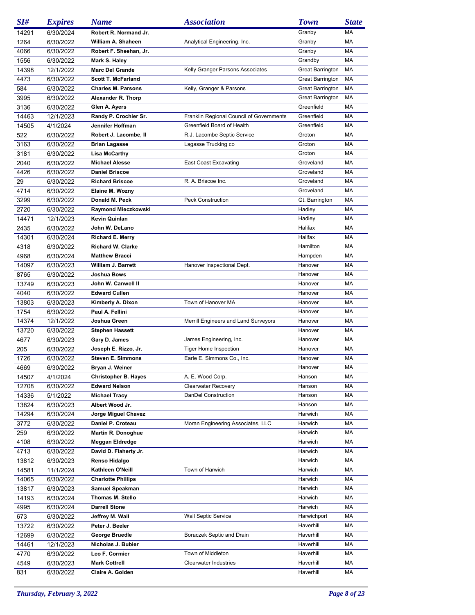| SI#            | <b>Expires</b>         | <b>Name</b>                                    | <b>Association</b>                       | <b>Town</b>             | <b>State</b> |
|----------------|------------------------|------------------------------------------------|------------------------------------------|-------------------------|--------------|
| 14291          | 6/30/2024              | Robert R. Normand Jr.                          |                                          | Granby                  | МA           |
| 1264           | 6/30/2022              | William A. Shaheen                             | Analytical Engineering, Inc.             | Granby                  | MA           |
| 4066           | 6/30/2022              | Robert F. Sheehan, Jr.                         |                                          | Granby                  | МA           |
| 1556           | 6/30/2022              | Mark S. Haley                                  |                                          | Grandby                 | MA           |
| 14398          | 12/1/2022              | <b>Marc Del Grande</b>                         | Kelly Granger Parsons Associates         | <b>Great Barrington</b> | MA           |
| 4473           | 6/30/2022              | <b>Scott T. McFarland</b>                      |                                          | Great Barrington        | МA           |
| 584            | 6/30/2022              | <b>Charles M. Parsons</b>                      | Kelly, Granger & Parsons                 | <b>Great Barrington</b> | MA           |
| 3995           | 6/30/2022              | Alexander R. Thorp                             |                                          | <b>Great Barrington</b> | MA           |
| 3136           | 6/30/2022              | Glen A. Ayers                                  |                                          | Greenfield              | MA           |
| 14463          | 12/1/2023              | Randy P. Crochier Sr.                          | Franklin Regional Council of Governments | Greenfield              | МA           |
| 14505          | 4/1/2024               | Jennifer Hoffman                               | Greenfield Board of Health               | Greenfield              | МA           |
| 522            | 6/30/2022              | Robert J. Lacombe, II                          | R.J. Lacombe Septic Service              | Groton                  | МA           |
| 3163           | 6/30/2022              | <b>Brian Lagasse</b>                           | Lagasse Trucking co                      | Groton                  | МA           |
| 3181           | 6/30/2022              | Lisa McCarthy                                  |                                          | Groton                  | МA           |
| 2040           | 6/30/2022              | <b>Michael Alesse</b>                          | <b>East Coast Excavating</b>             | Groveland               | МA           |
| 4426           | 6/30/2022              | <b>Daniel Briscoe</b>                          |                                          | Groveland               | МA           |
| 29             | 6/30/2022              | <b>Richard Briscoe</b>                         | R. A. Briscoe Inc.                       | Groveland               | МA           |
| 4714           | 6/30/2022              | Elaine M. Wozny                                |                                          | Groveland               | MA           |
| 3299           | 6/30/2022              | Donald M. Peck                                 | <b>Peck Construction</b>                 | Gt. Barrington          | МA           |
| 2720           | 6/30/2022              | Raymond Mieczkowski                            |                                          | Hadley                  | МA           |
| 14471          | 12/1/2023              | Kevin Quinlan                                  |                                          | Hadley                  | МA           |
| 2435           | 6/30/2022              | John W. DeLano                                 |                                          | Halifax                 | МA           |
| 14301          | 6/30/2024              | <b>Richard E. Merry</b>                        |                                          | Halifax                 | MA           |
| 4318           | 6/30/2022              | <b>Richard W. Clarke</b>                       |                                          | Hamilton                | МA           |
| 4968           | 6/30/2024              | <b>Matthew Bracci</b>                          |                                          | Hampden                 | МA           |
| 14097          | 6/30/2023              | <b>William J. Barrett</b>                      | Hanover Inspectional Dept.               | Hanover                 | МA           |
| 8765           | 6/30/2022              | Joshua Bows                                    |                                          | Hanover                 | МA           |
| 13749          | 6/30/2023              | John W. Canwell II                             |                                          | Hanover                 | МA           |
| 4040           | 6/30/2022              | <b>Edward Cullen</b>                           |                                          | Hanover                 | МA           |
| 13803          | 6/30/2023              | Kimberly A. Dixon                              | Town of Hanover MA                       | Hanover                 | МA           |
| 1754           | 6/30/2022              | Paul A. Fellini                                |                                          | Hanover                 | МA           |
| 14374          | 12/1/2022              | Joshua Green                                   | Merrill Engineers and Land Surveyors     | Hanover                 | МA           |
| 13720          | 6/30/2022              | <b>Stephen Hassett</b>                         |                                          | Hanover                 | МA           |
| 4677           | 6/30/2023              | Gary D. James                                  | James Engineering, Inc.                  | Hanover                 | МA           |
| 205            | 6/30/2022              | Joseph E. Rizzo, Jr.                           | <b>Tiger Home Inspection</b>             | Hanover                 | МA           |
| 1726           | 6/30/2022              | <b>Steven E. Simmons</b>                       | Earle E. Simmons Co., Inc.               | Hanover                 | МA           |
| 4669           | 6/30/2022              | Bryan J. Weiner                                |                                          | Hanover                 | MA           |
| 14507          | 4/1/2024               | <b>Christopher B. Hayes</b>                    | A. E. Wood Corp.                         | Hanson                  | МA           |
| 12708          | 6/30/2022              | <b>Edward Nelson</b>                           | <b>Clearwater Recovery</b>               | Hanson                  | МA           |
|                |                        | <b>Michael Tracy</b>                           | DanDel Construction                      | Hanson                  | МA           |
| 14336          | 5/1/2022               | Albert Wood Jr.                                |                                          | Hanson                  | МA           |
| 13824<br>14294 | 6/30/2023<br>6/30/2024 | Jorge Miguel Chavez                            |                                          | Harwich                 | МA           |
|                |                        |                                                | Moran Engineering Associates, LLC        |                         | МA           |
| 3772<br>259    | 6/30/2022<br>6/30/2022 | Daniel P. Croteau<br><b>Martin R. Donoghue</b> |                                          | Harwich<br>Harwich      | МA           |
|                |                        |                                                |                                          |                         |              |
| 4108<br>4713   | 6/30/2022<br>6/30/2022 | Meggan Eldredge<br>David D. Flaherty Jr.       |                                          | Harwich<br>Harwich      | МA<br>МA     |
|                |                        |                                                |                                          |                         |              |
| 13812          | 6/30/2023              | Renso Hidalgo<br>Kathleen O'Neill              | Town of Harwich                          | Harwich<br>Harwich      | МA<br>МA     |
| 14581          | 11/1/2024              |                                                |                                          |                         |              |
| 14065          | 6/30/2022              | <b>Charlotte Phillips</b>                      |                                          | Harwich                 | МA           |
| 13817          | 6/30/2023              | <b>Samuel Speakman</b>                         |                                          | Harwich                 | МA           |
| 14193          | 6/30/2024              | Thomas M. Stello                               |                                          | Harwich                 | МA           |
| 4995           | 6/30/2024              | <b>Darrell Stone</b>                           |                                          | Harwich                 | МA           |
| 673            | 6/30/2022              | Jeffrey M. Wall                                | <b>Wall Septic Service</b>               | Harwichport             | МA           |
| 13722          | 6/30/2022              | Peter J. Beeler                                |                                          | Haverhill               | МA           |
| 12699          | 6/30/2022              | George Bruedle                                 | Boraczek Septic and Drain                | Haverhill               | МA           |
| 14461          | 12/1/2023              | Nicholas J. Bubier                             |                                          | Haverhill               | МA           |
| 4770           | 6/30/2022              | Leo F. Cormier                                 | Town of Middleton                        | Haverhill               | МA           |
| 4549           | 6/30/2023              | <b>Mark Cottrell</b>                           | <b>Clearwater Industries</b>             | Haverhill               | МA           |
| 831            | 6/30/2022              | Claire A. Golden                               |                                          | Haverhill               | МA           |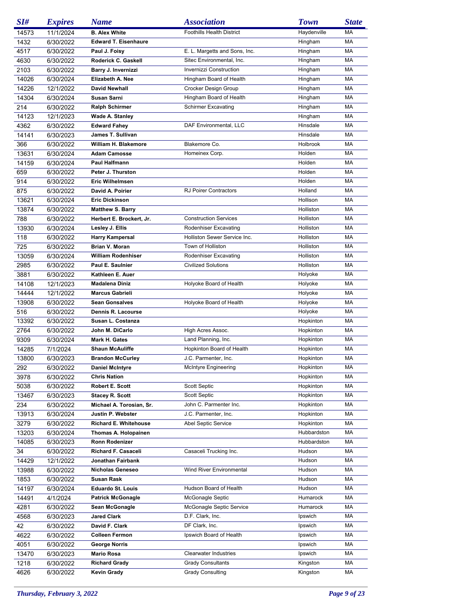| SI#   | <b>Expires</b> | <b>Name</b>                  | <b>Association</b>               | <b>Town</b> | <b>State</b> |
|-------|----------------|------------------------------|----------------------------------|-------------|--------------|
| 14573 | 11/1/2024      | <b>B. Alex White</b>         | <b>Foothills Health District</b> | Haydenville | МA           |
| 1432  | 6/30/2022      | <b>Edward T. Eisenhaure</b>  |                                  | Hingham     | MA           |
| 4517  | 6/30/2022      | Paul J. Foisy                | E. L. Margetts and Sons, Inc.    | Hingham     | МA           |
| 4630  | 6/30/2022      | Roderick C. Gaskell          | Sitec Environmental, Inc.        | Hingham     | МA           |
| 2103  | 6/30/2022      | Barry J. Invernizzi          | <b>Invernizzi Construction</b>   | Hingham     | МA           |
| 14026 | 6/30/2024      | Elizabeth A. Nee             | Hingham Board of Health          | Hingham     | МA           |
| 14226 | 12/1/2022      | <b>David Newhall</b>         | Crocker Design Group             | Hingham     | MA           |
| 14304 | 6/30/2024      | <b>Susan Sarni</b>           | Hingham Board of Health          | Hingham     | МA           |
| 214   | 6/30/2022      | <b>Ralph Schirmer</b>        | <b>Schirmer Excavating</b>       | Hingham     | МA           |
| 14123 | 12/1/2023      | <b>Wade A. Stanley</b>       |                                  | Hingham     | MA           |
| 4362  | 6/30/2022      | <b>Edward Fahey</b>          | DAF Environmental, LLC           | Hinsdale    | МA           |
| 14141 | 6/30/2023      | James T. Sullivan            |                                  | Hinsdale    | МA           |
| 366   | 6/30/2022      | William H. Blakemore         | Blakemore Co.                    | Holbrook    | МA           |
| 13631 | 6/30/2024      | <b>Adam Camosse</b>          | Homeinex Corp.                   | Holden      | МA           |
| 14159 | 6/30/2024      | Paul Halfmann                |                                  | Holden      | МA           |
| 659   | 6/30/2022      | Peter J. Thurston            |                                  | Holden      | МA           |
| 914   | 6/30/2022      | <b>Eric Wilhelmsen</b>       |                                  | Holden      | МA           |
| 875   | 6/30/2022      | David A. Poirier             | <b>RJ Poirer Contractors</b>     | Holland     | МA           |
| 13621 | 6/30/2024      | <b>Eric Dickinson</b>        |                                  | Hollison    | МA           |
| 13874 | 6/30/2022      | <b>Matthew S. Barry</b>      |                                  | Holliston   | МA           |
| 788   | 6/30/2022      | Herbert E. Brockert, Jr.     | <b>Construction Services</b>     | Holliston   | МA           |
| 13930 | 6/30/2024      | Lesley J. Ellis              | Rodenhiser Excavating            | Holliston   | МA           |
| 118   | 6/30/2022      | <b>Harry Kampersal</b>       | Holliston Sewer Service Inc.     | Holliston   | МA           |
| 725   | 6/30/2022      | Brian V. Moran               | Town of Holliston                | Holliston   | МA           |
| 13059 | 6/30/2024      | William Rodenhiser           | Rodenhiser Excavating            | Holliston   | МA           |
| 2985  | 6/30/2022      | Paul E. Saulnier             | <b>Civilized Solutions</b>       | Holliston   | МA           |
| 3881  | 6/30/2022      | Kathleen E. Auer             |                                  | Holyoke     | МA           |
| 14108 | 12/1/2023      | <b>Madalena Diniz</b>        | Holyoke Board of Health          | Holyoke     | МA           |
| 14444 | 12/1/2022      | <b>Marcus Gabrieli</b>       |                                  | Holyoke     | МA           |
| 13908 | 6/30/2022      | <b>Sean Gonsalves</b>        | Holyoke Board of Health          | Holyoke     | МA           |
| 516   | 6/30/2022      | Dennis R. Lacourse           |                                  | Holyoke     | МA           |
| 13392 | 6/30/2022      | Susan L. Costanza            |                                  | Hopkinton   | МA           |
| 2764  | 6/30/2022      | John M. DiCarlo              | High Acres Assoc.                | Hopkinton   | МA           |
| 9309  | 6/30/2024      | Mark H. Gates                | Land Planning, Inc.              | Hopkinton   | МA           |
| 14285 | 7/1/2024       | <b>Shaun McAuliffe</b>       | Hopkinton Board of Health        | Hopkinton   | МA           |
| 13800 | 6/30/2023      | <b>Brandon McCurley</b>      | J.C. Parmenter, Inc.             | Hopkinton   | МA           |
| 292   | 6/30/2022      | <b>Daniel McIntyre</b>       | McIntyre Engineering             | Hopkinton   | MA           |
| 3978  | 6/30/2022      | <b>Chris Nation</b>          |                                  | Hopkinton   | МA           |
| 5038  | 6/30/2022      | Robert E. Scott              | Scott Septic                     | Hopkinton   | МA           |
| 13467 | 6/30/2023      | <b>Stacey R. Scott</b>       | <b>Scott Septic</b>              | Hopkinton   | МA           |
| 234   | 6/30/2022      | Michael A. Torosian, Sr.     | John C. Parmenter Inc.           | Hopkinton   | МA           |
| 13913 | 6/30/2024      | Justin P. Webster            | J.C. Parmenter, Inc.             | Hopkinton   | МA           |
| 3279  | 6/30/2022      | <b>Richard E. Whitehouse</b> | Abel Septic Service              | Hopkinton   | МA           |
| 13203 | 6/30/2024      | Thomas A. Holopainen         |                                  | Hubbardston | МA           |
| 14085 | 6/30/2023      | Ronn Rodenizer               |                                  | Hubbardston | МA           |
| 34    | 6/30/2022      | Richard F. Casaceli          | Casaceli Trucking Inc.           | Hudson      | МA           |
| 14429 | 12/1/2022      | Jonathan Fairbank            |                                  | Hudson      | МA           |
| 13988 | 6/30/2022      | Nicholas Geneseo             | Wind River Environmental         | Hudson      | МA           |
| 1853  | 6/30/2022      | Susan Rask                   |                                  | Hudson      | МA           |
| 14197 | 6/30/2024      | <b>Eduardo St. Louis</b>     | Hudson Board of Health           | Hudson      | МA           |
| 14491 | 4/1/2024       | <b>Patrick McGonagle</b>     | McGonagle Septic                 | Humarock    | МA           |
| 4281  | 6/30/2022      | Sean McGonagle               | McGonagle Septic Service         | Humarock    | МA           |
| 4568  | 6/30/2023      | <b>Jared Clark</b>           | D.F. Clark, Inc.                 | Ipswich     | МA           |
| 42    | 6/30/2022      | David F. Clark               | DF Clark, Inc.                   | Ipswich     | МA           |
| 4622  | 6/30/2022      | <b>Colleen Fermon</b>        | Ipswich Board of Health          | Ipswich     | МA           |
| 4051  | 6/30/2022      | George Norris                |                                  | Ipswich     | МA           |
| 13470 | 6/30/2023      | Mario Rosa                   | <b>Clearwater Industries</b>     | Ipswich     | МA           |
| 1218  | 6/30/2022      | <b>Richard Grady</b>         | <b>Grady Consultants</b>         | Kingston    | МA           |
| 4626  | 6/30/2022      | <b>Kevin Grady</b>           | <b>Grady Consulting</b>          | Kingston    | МA           |
|       |                |                              |                                  |             |              |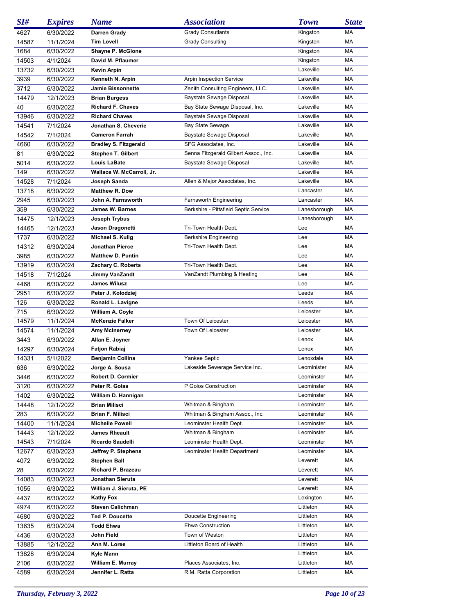| SI#   | <b>Expires</b> | <b>Name</b>                  | <i><b>Association</b></i>             | <b>Town</b>  | <b>State</b> |
|-------|----------------|------------------------------|---------------------------------------|--------------|--------------|
| 4627  | 6/30/2022      | <b>Darren Grady</b>          | <b>Grady Consutlants</b>              | Kingston     | MA           |
| 14587 | 11/1/2024      | <b>Tim Lovell</b>            | <b>Grady Consulting</b>               | Kingston     | МA           |
| 1684  | 6/30/2022      | Shayne P. McGlone            |                                       | Kingston     | МA           |
| 14503 | 4/1/2024       | David M. Pflaumer            |                                       | Kingston     | МA           |
| 13732 | 6/30/2023      | <b>Kevin Arpin</b>           |                                       | Lakeville    | МA           |
| 3939  | 6/30/2022      | Kenneth N. Arpin             | Arpin Inspection Service              | Lakeville    | MA           |
| 3712  | 6/30/2022      | <b>Jamie Bissonnette</b>     | Zenith Consulting Engineers, LLC.     | Lakeville    | МA           |
| 14479 | 12/1/2023      | <b>Brian Burgess</b>         | Baystate Sewage Disposal              | Lakeville    | МA           |
| 40    | 6/30/2022      | <b>Richard F. Chaves</b>     | Bay State Sewage Disposal, Inc.       | Lakeville    | MA           |
| 13946 | 6/30/2022      | <b>Richard Chaves</b>        | Baystate Sewage Disposal              | Lakeville    | МA           |
| 14541 | 7/1/2024       | Jonathan S. Cheverie         | <b>Bay State Sewage</b>               | Lakeville    | МA           |
| 14542 | 7/1/2024       | <b>Cameron Farrah</b>        | Baystate Sewage Disposal              | Lakeville    | MA           |
| 4660  | 6/30/2022      | <b>Bradley S. Fitzgerald</b> | SFG Associates, Inc.                  | Lakeville    | МA           |
| 81    | 6/30/2022      | <b>Stephen T. Gilbert</b>    | Senna Fitzgerald Gilbert Assoc., Inc. | Lakeville    | MA           |
|       |                | <b>Louis LaBate</b>          | Baystate Sewage Disposal              | Lakeville    | MA           |
| 5014  | 6/30/2022      |                              |                                       | Lakeville    | MA           |
| 149   | 6/30/2022      | Wallace W. McCarroll, Jr.    |                                       |              |              |
| 14528 | 7/1/2024       | Joseph Sanda                 | Allen & Major Associates, Inc.        | Lakeville    | MA           |
| 13718 | 6/30/2022      | Matthew R. Dow               |                                       | Lancaster    | МA           |
| 2945  | 6/30/2023      | John A. Farnsworth           | Farnsworth Engineering                | Lancaster    | МA           |
| 359   | 6/30/2022      | James W. Barnes              | Berkshire - Pittsfield Septic Service | Lanesborough | МA           |
| 14475 | 12/1/2023      | Joseph Trybus                |                                       | Lanesborough | MA           |
| 14465 | 12/1/2023      | Jason Dragonetti             | Tri-Town Health Dept.                 | Lee          | MA           |
| 1737  | 6/30/2022      | Michael S. Kulig             | <b>Berkshire Engineering</b>          | Lee          | МA           |
| 14312 | 6/30/2024      | Jonathan Pierce              | Tri-Town Health Dept.                 | Lee          | МA           |
| 3985  | 6/30/2022      | <b>Matthew D. Puntin</b>     |                                       | Lee          | MA           |
| 13919 | 6/30/2024      | Zachary C. Roberts           | Tri-Town Health Dept.                 | Lee          | МA           |
| 14518 | 7/1/2024       | Jimmy VanZandt               | VanZandt Plumbing & Heating           | Lee          | МA           |
| 4468  | 6/30/2022      | <b>James Wilusz</b>          |                                       | Lee          | МA           |
| 2951  | 6/30/2022      | Peter J. Kolodziej           |                                       | Leeds        | МA           |
| 126   | 6/30/2022      | Ronald L. Lavigne            |                                       | Leeds        | MA           |
| 715   | 6/30/2022      | William A. Coyle             |                                       | Leicester    | MA           |
| 14579 | 11/1/2024      | <b>McKenzie Falker</b>       | Town Of Leicester                     | Leicester    | МA           |
| 14574 | 11/1/2024      | Amy McInerney                | Town Of Leicester                     | Leicester    | MA           |
| 3443  | 6/30/2022      | Allan E. Joyner              |                                       | Lenox        | МA           |
| 14297 | 6/30/2024      | <b>Fatjon Rabiaj</b>         |                                       | Lenox        | МA           |
| 14331 | 5/1/2022       | <b>Benjamin Collins</b>      | Yankee Septic                         | Lenoxdale    | MA           |
| 636   | 6/30/2022      | Jorge A. Sousa               | Lakeside Sewerage Service Inc.        | Leominister  | MA           |
| 3446  | 6/30/2022      | Robert D. Cormier            |                                       | Leominster   | МA           |
| 3120  | 6/30/2022      | Peter R. Golas               | P Golos Construction                  | Leominster   | МA           |
| 1402  | 6/30/2022      | William D. Hannigan          |                                       | Leominster   | МA           |
| 14448 | 12/1/2022      | <b>Brian Milisci</b>         | Whitman & Bingham                     | Leominster   | МA           |
| 283   | 6/30/2022      | <b>Brian F. Milisci</b>      | Whitman & Bingham Assoc., Inc.        | Leominster   | МA           |
| 14400 | 11/1/2024      | <b>Michelle Powell</b>       | Leominster Health Dept.               | Leominster   | МA           |
| 14443 | 12/1/2022      | <b>James Rheault</b>         | Whitman & Bingham                     | Leominster   | МA           |
| 14543 | 7/1/2024       | Ricardo Saudelli             | Leominster Health Dept.               | Leominster   | МA           |
| 12677 | 6/30/2023      | Jeffrey P. Stephens          | Leominster Health Department          | Leominster   | МA           |
| 4072  | 6/30/2022      | <b>Stephen Ball</b>          |                                       | Leverett     | МA           |
| 28    | 6/30/2022      | Richard P. Brazeau           |                                       | Leverett     | МA           |
| 14083 | 6/30/2023      | Jonathan Sieruta             |                                       | Leverett     | МA           |
| 1055  | 6/30/2022      | William J. Sieruta, PE       |                                       | Leverett     | МA           |
|       |                | <b>Kathy Fox</b>             |                                       |              | МA           |
| 4437  | 6/30/2022      | <b>Steven Calichman</b>      |                                       | Lexington    |              |
| 4974  | 6/30/2022      |                              |                                       | Littleton    | МA           |
| 4680  | 6/30/2022      | <b>Ted P. Doucette</b>       | Doucette Engineering                  | Littleton    | МA           |
| 13635 | 6/30/2024      | <b>Todd Ehwa</b>             | Ehwa Construction                     | Littleton    | МA           |
| 4436  | 6/30/2023      | John Field                   | Town of Weston                        | Littleton    | МA           |
| 13885 | 12/1/2022      | Ann M. Loree                 | Littleton Board of Health             | Littleton    | МA           |
| 13828 | 6/30/2024      | Kyle Mann                    |                                       | Littleton    | МA           |
| 2106  | 6/30/2022      | William E. Murray            | Places Associates, Inc.               | Littleton    | МA           |
| 4589  | 6/30/2024      | Jennifer L. Ratta            | R.M. Ratta Corporation                | Littleton    | МA           |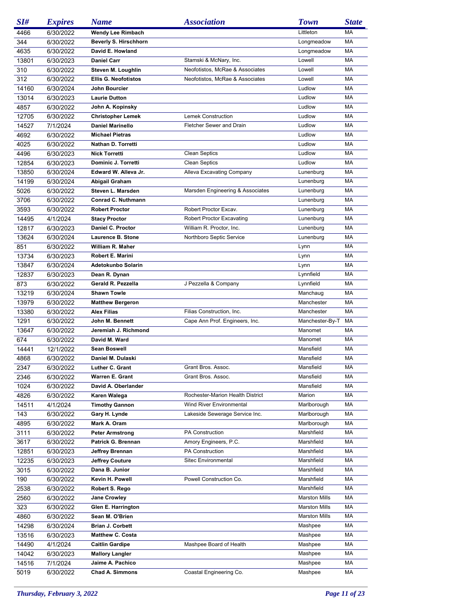| SI#   | <b>Expires</b> | <b>Name</b>                 | <b>Association</b>               | <b>Town</b>          | <b>State</b> |
|-------|----------------|-----------------------------|----------------------------------|----------------------|--------------|
| 4466  | 6/30/2022      | <b>Wendy Lee Rimbach</b>    |                                  | Littleton            | MA           |
| 344   | 6/30/2022      | Beverly S. Hirschhorn       |                                  | Longmeadow           | MA           |
| 4635  | 6/30/2022      | David E. Howland            |                                  | Longmeadow           | МA           |
| 13801 | 6/30/2023      | <b>Daniel Carr</b>          | Stamski & McNary, Inc.           | Lowell               | MA           |
| 310   | 6/30/2022      | Steven M. Loughlin          | Neofotistos, McRae & Associates  | Lowell               | MA           |
| 312   | 6/30/2022      | <b>Ellis G. Neofotistos</b> | Neofotistos, McRae & Associates  | Lowell               | МA           |
| 14160 | 6/30/2024      | John Bourcier               |                                  | Ludlow               | МA           |
| 13014 | 6/30/2023      | <b>Laurie Dutton</b>        |                                  | Ludlow               | МA           |
| 4857  | 6/30/2022      | John A. Kopinsky            |                                  | Ludlow               | МA           |
| 12705 | 6/30/2022      | <b>Christopher Lemek</b>    | Lemek Construction               | Ludlow               | МA           |
| 14527 | 7/1/2024       | <b>Daniel Marinello</b>     | Fletcher Sewer and Drain         | Ludlow               | МA           |
| 4692  | 6/30/2022      | <b>Michael Pietras</b>      |                                  | Ludlow               | МA           |
| 4025  | 6/30/2022      | Nathan D. Torretti          |                                  | Ludlow               | МA           |
| 4496  | 6/30/2023      | <b>Nick Torretti</b>        | <b>Clean Septics</b>             | Ludlow               | MA           |
| 12854 | 6/30/2023      | Dominic J. Torretti         | <b>Clean Septics</b>             | Ludlow               | МA           |
| 13850 | 6/30/2024      | Edward W. Alleva Jr.        | Alleva Excavating Company        | Lunenburg            | МA           |
| 14199 | 6/30/2024      | Abigail Graham              |                                  | Lunenburg            | МA           |
| 5026  | 6/30/2022      | Steven L. Marsden           | Marsden Engineering & Associates | Lunenburg            | МA           |
| 3706  | 6/30/2022      | Conrad C. Nuthmann          |                                  | Lunenburg            | MA           |
| 3593  | 6/30/2022      | <b>Robert Proctor</b>       | Robert Proctor Excav.            | Lunenburg            | МA           |
| 14495 | 4/1/2024       | <b>Stacy Proctor</b>        | <b>Robert Proctor Excavating</b> | Lunenburg            | МA           |
| 12817 | 6/30/2023      | Daniel C. Proctor           | William R. Proctor, Inc.         | Lunenburg            | MA           |
| 13624 | 6/30/2024      | Laurence B. Stone           | Northboro Septic Service         | Lunenburg            | МA           |
| 851   | 6/30/2022      | William R. Maher            |                                  | Lynn                 | МA           |
| 13734 | 6/30/2023      | Robert E. Marini            |                                  | Lynn                 | MA           |
| 13847 | 6/30/2024      | Adetokunbo Solarin          |                                  | Lynn                 | MA           |
| 12837 | 6/30/2023      | Dean R. Dynan               |                                  | Lynnfield            | МA           |
| 873   | 6/30/2022      | Gerald R. Pezzella          | J Pezzella & Company             | Lynnfield            | МA           |
| 13219 | 6/30/2024      | <b>Shawn Towle</b>          |                                  | Manchaug             | MA           |
| 13979 | 6/30/2022      | <b>Matthew Bergeron</b>     |                                  | Manchester           | МA           |
| 13380 | 6/30/2022      | <b>Alex Filias</b>          | Filias Construction, Inc.        | Manchester           | MA           |
| 1291  | 6/30/2022      | John M. Bennett             | Cape Ann Prof. Engineers, Inc.   | Manchester-By-T      | MA           |
| 13647 | 6/30/2022      | Jeremiah J. Richmond        |                                  | Manomet              | МA           |
| 674   | 6/30/2022      | David M. Ward               |                                  | Manomet              | MA           |
| 14441 | 12/1/2022      | <b>Sean Boswell</b>         |                                  | Mansfield            | MA           |
| 4868  | 6/30/2022      | Daniel M. Dulaski           |                                  | Mansfield            | МA           |
| 2347  | 6/30/2022      | Luther C. Grant             | Grant Bros. Assoc.               | Mansfield            | MA           |
| 2346  | 6/30/2022      | Warren E. Grant             | Grant Bros. Assoc.               | Mansfield            | МA           |
| 1024  | 6/30/2022      | David A. Oberlander         |                                  | Mansfield            | МA           |
| 4826  | 6/30/2022      | Karen Walega                | Rochester-Marion Health District | Marion               | МA           |
| 14511 | 4/1/2024       | <b>Timothy Gannon</b>       | Wind River Environmental         | Marlborough          | МA           |
| 143   | 6/30/2022      | Gary H. Lynde               | Lakeside Sewerage Service Inc.   | Marlborough          | МA           |
| 4895  | 6/30/2022      | Mark A. Oram                |                                  | Marlborough          | МA           |
| 3111  | 6/30/2022      | <b>Peter Armstrong</b>      | PA Construction                  | Marshfield           | МA           |
| 3617  | 6/30/2022      | Patrick G. Brennan          | Amory Engineers, P.C.            | Marshfield           | МA           |
| 12851 | 6/30/2023      | Jeffrey Brennan             | PA Construction                  | Marshfield           | МA           |
| 12235 | 6/30/2023      | <b>Jeffrey Couture</b>      | Sitec Environmental              | Marshfield           | МA           |
| 3015  | 6/30/2022      | Dana B. Junior              |                                  | Marshfield           | МA           |
| 190   | 6/30/2022      | Kevin H. Powell             | Powell Construction Co.          | Marshfield           | МA           |
| 2538  | 6/30/2022      | Robert S. Rego              |                                  | Marshfield           | МA           |
| 2560  | 6/30/2022      | <b>Jane Crowley</b>         |                                  | <b>Marston Mills</b> | МA           |
| 323   | 6/30/2022      | Glen E. Harrington          |                                  | <b>Marston Mills</b> | МA           |
| 4860  | 6/30/2022      | Sean M. O'Brien             |                                  | <b>Marston Mills</b> | МA           |
| 14298 | 6/30/2024      | <b>Brian J. Corbett</b>     |                                  | Mashpee              | МA           |
| 13516 | 6/30/2023      | <b>Matthew C. Costa</b>     |                                  | Mashpee              | МA           |
| 14490 | 4/1/2024       | <b>Caitlin Gardipe</b>      | Mashpee Board of Health          | Mashpee              | МA           |
| 14042 | 6/30/2023      | <b>Mallory Langler</b>      |                                  | Mashpee              | МA           |
| 14516 | 7/1/2024       | Jaime A. Pachico            |                                  | Mashpee              | МA           |
| 5019  | 6/30/2022      | <b>Chad A. Simmons</b>      | Coastal Engineering Co.          | Mashpee              | МA           |
|       |                |                             |                                  |                      |              |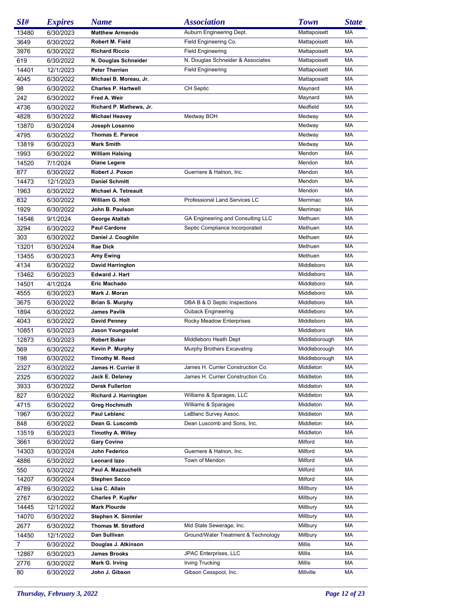| SI#   | <b>Expires</b> | <b>Name</b>                 | <b>Association</b>                  | <b>Town</b>                    | <b>State</b> |
|-------|----------------|-----------------------------|-------------------------------------|--------------------------------|--------------|
| 13480 | 6/30/2023      | <b>Matthew Armendo</b>      | Auburn Engineering Dept.            | Mattapoisett                   | МA           |
| 3649  | 6/30/2022      | Robert M. Field             | Field Engineering Co.               | Mattapoisett                   | MA           |
| 3976  | 6/30/2022      | <b>Richard Riccio</b>       | <b>Field Engineering</b>            | Mattapoisett                   | МA           |
| 619   | 6/30/2022      | N. Douglas Schneider        | N. Douglas Schneider & Associates   | Mattapoisett                   | MA           |
| 14401 | 12/1/2023      | <b>Peter Therrien</b>       | <b>Field Engineering</b>            | Mattapoisett                   | MA           |
| 4045  | 6/30/2022      | Michael B. Moreau, Jr.      |                                     | Mattaposiett                   | МA           |
| 98    | 6/30/2022      | <b>Charles P. Hartwell</b>  | <b>CH Septic</b>                    | Maynard                        | MA           |
| 242   | 6/30/2022      | Fred A. Weir                |                                     | Maynard                        | МA           |
| 4736  | 6/30/2022      | Richard P. Mathews, Jr.     |                                     | Medfield                       | МA           |
| 4828  |                | <b>Michael Heavey</b>       | Medway BOH                          | Medway                         | MA           |
|       | 6/30/2022      |                             |                                     |                                |              |
| 13870 | 6/30/2024      | Joseph Losanno              |                                     | Medway                         | МA           |
| 4795  | 6/30/2022      | <b>Thomas E. Parece</b>     |                                     | Medway                         | МA           |
| 13819 | 6/30/2023      | <b>Mark Smith</b>           |                                     | Medway                         | MA           |
| 1993  | 6/30/2022      | <b>William Halsing</b>      |                                     | Mendon                         | МA           |
| 14520 | 7/1/2024       | Diane Legere                |                                     | Mendon                         | MA           |
| 877   | 6/30/2022      | Robert J. Poxon             | Guerriere & Halnon, Inc.            | Mendon                         | МA           |
| 14473 | 12/1/2023      | <b>Daniel Schmitt</b>       |                                     | Mendon                         | МA           |
| 1963  | 6/30/2022      | <b>Michael A. Tetreault</b> |                                     | Mendon                         | MA           |
| 832   | 6/30/2022      | William G. Holt             | Professional Land Services LC       | Merrimac                       | МA           |
| 1929  | 6/30/2022      | John B. Paulson             |                                     | Merrimac                       | МA           |
| 14546 | 9/1/2024       | George Atallah              | GA Engineering and Consulting LLC   | Methuen                        | МA           |
| 3294  | 6/30/2022      | <b>Paul Cardone</b>         | Septic Compliance Incorporated      | Methuen                        | МA           |
| 303   | 6/30/2022      | Daniel J. Coughlin          |                                     | Methuen                        | МA           |
| 13201 | 6/30/2024      | Rae Dick                    |                                     | Methuen                        | МA           |
| 13455 | 6/30/2023      | Amy Ewing                   |                                     | Methuen                        | МA           |
| 4134  | 6/30/2022      | <b>David Harrington</b>     |                                     | Middleboro                     | МA           |
| 13462 | 6/30/2023      | Edward J. Hart              |                                     | Middleboro                     | МA           |
| 14501 | 4/1/2024       | Eric Machado                |                                     | Middleboro                     | МA           |
| 4555  | 6/30/2023      | Mark J. Moran               |                                     | Middleboro                     | МA           |
| 3675  | 6/30/2022      | <b>Brian S. Murphy</b>      | DBA B & D Septic Inspections        | Middleboro                     | МA           |
| 1894  | 6/30/2022      | James Pavlik                | <b>Ouback Engineering</b>           | Middleboro                     | МA           |
| 4043  | 6/30/2022      | <b>David Penney</b>         | Rocky Meadow Enterprises            | Middleboro                     | МA           |
|       |                |                             |                                     |                                | МA           |
| 10851 | 6/30/2023      | Jason Youngquist            |                                     | Middleboro                     |              |
| 12873 | 6/30/2023      | <b>Robert Buker</b>         | Middleboro Heath Dept               | Middleborough<br>Middleborough | МA<br>MA     |
| 569   | 6/30/2022      | Kevin P. Murphy             | Murphy Brothers Excavating          |                                |              |
| 198   | 6/30/2022      | <b>Timothy M. Reed</b>      |                                     | Middleborough                  | МA           |
| 2327  | 6/30/2022      | James H. Currier II         | James H. Currier Construction Co.   | Middleton                      | MA           |
| 2325  | 6/30/2022      | Jack E. Delaney             | James H. Currier Construction Co.   | Middleton                      | МA           |
| 3933  | 6/30/2022      | Derek Fullerton             |                                     | Middleton                      | МA           |
| 827   | 6/30/2022      | Richard J. Harrington       | Williams & Sparages, LLC            | Middleton                      | МA           |
| 4715  | 6/30/2022      | <b>Greg Hochmuth</b>        | Williams & Sparages                 | Middleton                      | МA           |
| 1967  | 6/30/2022      | Paul Leblanc                | LeBlanc Survey Assoc.               | Middleton                      | МA           |
| 848   | 6/30/2022      | Dean G. Luscomb             | Dean Luscomb and Sons, Inc.         | Middleton                      | MA           |
| 13519 | 6/30/2023      | <b>Timothy A. Willey</b>    |                                     | Middleton                      | МA           |
| 3661  | 6/30/2022      | <b>Gary Covino</b>          |                                     | Milford                        | МA           |
| 14303 | 6/30/2024      | John Federico               | Guerriere & Halnon, Inc.            | Milford                        | МA           |
| 4886  | 6/30/2022      | Leonard Izzo                | Town of Mendon                      | Milford                        | МA           |
| 550   | 6/30/2022      | Paul A. Mazzuchelli         |                                     | Milford                        | МA           |
| 14207 | 6/30/2024      | <b>Stephen Sacco</b>        |                                     | Milford                        | МA           |
| 4789  | 6/30/2022      | Lisa C. Allain              |                                     | Millbury                       | МA           |
| 2767  | 6/30/2022      | <b>Charles P. Kupfer</b>    |                                     | Millbury                       | МA           |
| 14445 | 12/1/2022      | <b>Mark Plourde</b>         |                                     | Millbury                       | МA           |
| 14070 | 6/30/2022      | Stephen K. Simmler          |                                     | Millbury                       | МA           |
| 2677  | 6/30/2022      | <b>Thomas M. Stratford</b>  | Mid State Sewerage, Inc.            | Millbury                       | МA           |
| 14450 | 12/1/2022      | Dan Sullivan                | Ground/Water Treatment & Technology | Millbury                       | МA           |
| 7     | 6/30/2022      | Douglas J. Atkinson         |                                     | Millis                         | МA           |
| 12867 | 6/30/2023      | James Brooks                | JPAC Enterprises, LLC               | Millis                         | MA           |
|       |                |                             |                                     |                                |              |
| 2776  | 6/30/2022      | Mark G. Irving              | Irving Trucking                     | Millis                         | МA           |
| 80    | 6/30/2022      | John J. Gibson              | Gibson Cesspool, Inc.               | Millville                      | МA           |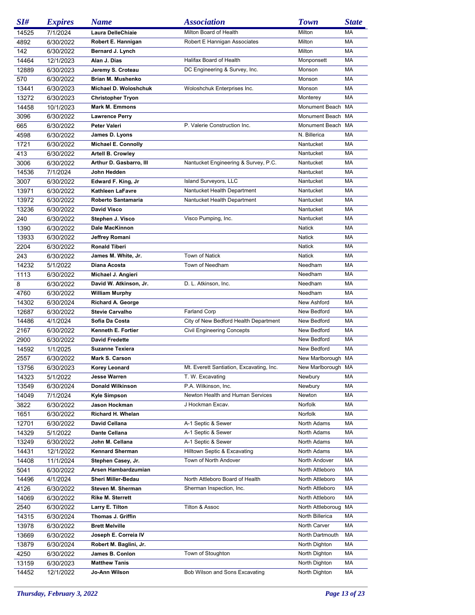| SI#   | <b>Expires</b> | <b>Name</b>                | <b>Association</b>                       | <b>Town</b>        | <b>State</b> |
|-------|----------------|----------------------------|------------------------------------------|--------------------|--------------|
| 14525 | 7/1/2024       | Laura DelleChiaie          | Milton Board of Health                   | Milton             | МA           |
| 4892  | 6/30/2022      | Robert E. Hannigan         | Robert E Hannigan Associates             | Milton             | МA           |
| 142   | 6/30/2022      | Bernard J. Lynch           |                                          | Milton             | МA           |
| 14464 | 12/1/2023      | Alan J. Dias               | Halifax Board of Health                  | Monponsett         | МA           |
| 12889 | 6/30/2023      | Jeremy S. Croteau          | DC Engineering & Survey, Inc.            | Monson             | МA           |
| 570   | 6/30/2022      | Brian M. Mushenko          |                                          | Monson             | МA           |
| 13441 | 6/30/2023      | Michael D. Woloshchuk      | Woloshchuk Enterprises Inc.              | Monson             | МA           |
| 13272 | 6/30/2023      | <b>Christopher Tryon</b>   |                                          | Monterey           | МA           |
| 14458 | 10/1/2023      | <b>Mark M. Emmons</b>      |                                          | Monument Beach     | МA           |
|       |                |                            |                                          |                    |              |
| 3096  | 6/30/2022      | <b>Lawrence Perry</b>      |                                          | Monument Beach MA  |              |
| 665   | 6/30/2022      | Peter Valeri               | P. Valerie Construction Inc.             | Monument Beach MA  |              |
| 4598  | 6/30/2022      | James D. Lyons             |                                          | N. Billerica       | МA           |
| 1721  | 6/30/2022      | <b>Michael E. Connolly</b> |                                          | Nantucket          | МA           |
| 413   | 6/30/2022      | <b>Artell B. Crowley</b>   |                                          | Nantucket          | МA           |
| 3006  | 6/30/2022      | Arthur D. Gasbarro, III    | Nantucket Engineering & Survey, P.C.     | Nantucket          | МA           |
| 14536 | 7/1/2024       | John Hedden                |                                          | Nantucket          | МA           |
| 3007  | 6/30/2022      | Edward F. King, Jr         | Island Surveyors, LLC                    | Nantucket          | МA           |
| 13971 | 6/30/2022      | <b>Kathleen LaFavre</b>    | Nantucket Health Department              | Nantucket          | МA           |
| 13972 | 6/30/2022      | Roberto Santamaria         | Nantucket Health Department              | Nantucket          | МA           |
| 13236 | 6/30/2022      | <b>David Visco</b>         |                                          | Nantucket          | МA           |
| 240   | 6/30/2022      | Stephen J. Visco           | Visco Pumping, Inc.                      | Nantucket          | МA           |
| 1390  | 6/30/2022      | Dale MacKinnon             |                                          | Natick             | МA           |
| 13933 | 6/30/2022      | Jeffrey Romani             |                                          | Natick             | МA           |
| 2204  | 6/30/2022      | <b>Ronald Tiberi</b>       |                                          | Natick             | МA           |
| 243   | 6/30/2022      | James M. White, Jr.        | Town of Natick                           | Natick             | MA           |
| 14232 | 5/1/2022       | Diana Acosta               | Town of Needham                          | Needham            | МA           |
| 1113  | 6/30/2022      | Michael J. Angieri         |                                          | Needham            | МA           |
| 8     | 6/30/2022      | David W. Atkinson, Jr.     | D. L. Atkinson, Inc.                     | Needham            | МA           |
| 4760  | 6/30/2022      | <b>William Murphy</b>      |                                          | Needham            | MA           |
|       |                |                            |                                          | New Ashford        |              |
| 14302 | 6/30/2024      | <b>Richard A. George</b>   |                                          |                    | МA           |
| 12687 | 6/30/2022      | <b>Stevie Carvalho</b>     | <b>Farland Corp</b>                      | New Bedford        | МA           |
| 14486 | 4/1/2024       | Sofia Da Costa             | City of New Bedford Health Department    | New Bedford        | МA           |
| 2167  | 6/30/2022      | Kenneth E. Fortier         | <b>Civil Engineering Concepts</b>        | New Bedford        | MA           |
| 2900  | 6/30/2022      | <b>David Fredette</b>      |                                          | New Bedford        | МA           |
| 14592 | 1/1/2025       | <b>Suzanne Texiera</b>     |                                          | New Bedford        | MA           |
| 2557  | 6/30/2022      | Mark S. Carson             |                                          | New Marlborough MA |              |
| 13756 | 6/30/2023      | <b>Korey Leonard</b>       | Mt. Everett Santiation, Excavating, Inc. | New Marlborough MA |              |
| 14323 | 5/1/2022       | <b>Jesse Warren</b>        | T. W. Excavating                         | Newbury            | МA           |
| 13549 | 6/30/2024      | <b>Donald Wilkinson</b>    | P.A. Wilkinson, Inc.                     | Newbury            | МA           |
| 14049 | 7/1/2024       | <b>Kyle Simpson</b>        | Newton Health and Human Services         | Newton             | МA           |
| 3822  | 6/30/2022      | <b>Jason Hockman</b>       | J Hockman Excav.                         | <b>Norfolk</b>     | МA           |
| 1651  | 6/30/2022      | Richard H. Whelan          |                                          | Norfolk            | МA           |
| 12701 | 6/30/2022      | David Cellana              | A-1 Septic & Sewer                       | North Adams        | МA           |
| 14329 | 5/1/2022       | Dante Cellana              | A-1 Septic & Sewer                       | North Adams        | МA           |
| 13249 | 6/30/2022      | John M. Cellana            | A-1 Septic & Sewer                       | North Adams        | МA           |
| 14431 | 12/1/2022      | <b>Kennard Sherman</b>     | Hilltown Septic & Excavating             | North Adams        | МA           |
| 14408 | 11/1/2024      | Stephen Casey, Jr.         | Town of North Andover                    | North Andover      | МA           |
| 5041  | 6/30/2022      | Arsen Hambardzumian        |                                          | North Attleboro    | МA           |
| 14496 | 4/1/2024       | Sheri Miller-Bedau         | North Attleboro Board of Health          | North Attleboro    | МA           |
| 4126  | 6/30/2022      | Steven M. Sherman          | Sherman Inspection, Inc.                 | North Attleboro    | МA           |
| 14069 | 6/30/2022      | <b>Rike M. Sterrett</b>    |                                          | North Attleboro    | МA           |
| 2540  | 6/30/2022      | Larry E. Tilton            | Tilton & Assoc                           | North Attleboroug  | МA           |
|       |                | Thomas J. Griffin          |                                          | North Billerica    | МA           |
| 14315 | 6/30/2024      |                            |                                          |                    |              |
| 13978 | 6/30/2022      | <b>Brett Melville</b>      |                                          | North Carver       | МA           |
| 13669 | 6/30/2022      | Joseph E. Correia IV       |                                          | North Dartmouth    | МA           |
| 13879 | 6/30/2024      | Robert M. Baglini, Jr.     |                                          | North Dighton      | МA           |
| 4250  | 6/30/2022      | James B. Conlon            | Town of Stoughton                        | North Dighton      | МA           |
| 13159 | 6/30/2023      | <b>Matthew Tanis</b>       |                                          | North Dighton      | МA           |
| 14452 | 12/1/2022      | Jo-Ann Wilson              | Bob Wilson and Sons Excavating           | North Dighton      | МA           |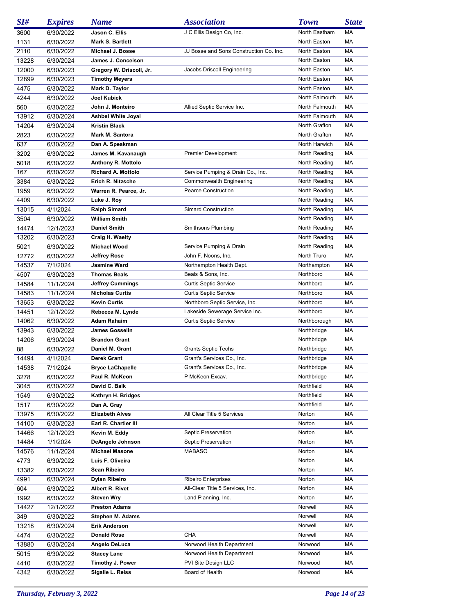| SI#   | <b>Expires</b> | <b>Name</b>               | <b>Association</b>                      | <b>Town</b>    | <b>State</b> |
|-------|----------------|---------------------------|-----------------------------------------|----------------|--------------|
| 3600  | 6/30/2022      | Jason C. Ellis            | J C Ellis Design Co, Inc.               | North Eastham  | МA           |
| 1131  | 6/30/2022      | Mark S. Bartlett          |                                         | North Easton   | MA           |
| 2110  | 6/30/2022      | Michael J. Bosse          | JJ Bosse and Sons Construction Co. Inc. | North Easton   | МA           |
| 13228 | 6/30/2024      | James J. Conceison        |                                         | North Easton   | MA           |
| 12000 | 6/30/2023      | Gregory W. Driscoll, Jr.  | Jacobs Driscoll Engineering             | North Easton   | МA           |
| 12899 | 6/30/2023      | <b>Timothy Meyers</b>     |                                         | North Easton   | MA           |
| 4475  | 6/30/2022      | Mark D. Taylor            |                                         | North Easton   | MA           |
| 4244  | 6/30/2022      | Joel Kubick               |                                         | North Falmouth | MA           |
| 560   | 6/30/2022      | John J. Monteiro          | Allied Septic Service Inc.              | North Falmouth | МA           |
| 13912 | 6/30/2024      | <b>Ashbel White Joyal</b> |                                         | North Falmouth | MA           |
| 14204 | 6/30/2024      | <b>Kristin Black</b>      |                                         | North Grafton  | MA           |
| 2823  | 6/30/2022      | Mark M. Santora           |                                         | North Grafton  | MA           |
| 637   | 6/30/2022      | Dan A. Speakman           |                                         | North Harwich  | MA           |
| 3202  | 6/30/2022      | James M. Kavanaugh        | <b>Premier Development</b>              | North Reading  | МA           |
| 5018  | 6/30/2022      | <b>Anthony R. Mottolo</b> |                                         | North Reading  | МA           |
| 167   | 6/30/2022      | <b>Richard A. Mottolo</b> | Service Pumping & Drain Co., Inc.       | North Reading  | МA           |
| 3384  | 6/30/2022      | Erich R. Nitzsche         | Commonwealth Engineering                | North Reading  | МA           |
| 1959  | 6/30/2022      | Warren R. Pearce, Jr.     | <b>Pearce Construction</b>              | North Reading  | МA           |
| 4409  | 6/30/2022      | Luke J. Roy               |                                         | North Reading  | МA           |
| 13015 | 4/1/2024       | <b>Ralph Simard</b>       | <b>Simard Construction</b>              | North Reading  | МA           |
| 3504  | 6/30/2022      | <b>William Smith</b>      |                                         | North Reading  | МA           |
| 14474 | 12/1/2023      | <b>Daniel Smith</b>       | Smithsons Plumbing                      | North Reading  | МA           |
| 13202 | 6/30/2023      | Craig H. Waelty           |                                         | North Reading  | МA           |
| 5021  | 6/30/2022      | Michael Wood              | Service Pumping & Drain                 | North Reading  | МA           |
| 12772 | 6/30/2022      | Jeffrey Rose              | John F. Noons, Inc.                     | North Truro    | МA           |
| 14537 | 7/1/2024       | Jasmine Ward              | Northampton Health Dept.                | Northampton    | МA           |
| 4507  | 6/30/2023      | <b>Thomas Beals</b>       | Beals & Sons, Inc.                      | Northboro      | МA           |
| 14584 | 11/1/2024      | <b>Jeffrey Cummings</b>   | <b>Curtis Septic Service</b>            | Northboro      | МA           |
| 14583 | 11/1/2024      | <b>Nicholas Curtis</b>    | <b>Curtis Septic Service</b>            | Northboro      | МA           |
| 13653 | 6/30/2022      | <b>Kevin Curtis</b>       | Northboro Septic Service, Inc.          | Northboro      | МA           |
| 14451 | 12/1/2022      | Rebecca M. Lynde          | Lakeside Sewerage Service Inc.          | Northboro      | МA           |
| 14062 | 6/30/2022      | Adam Rahaim               | Curtis Septic Service                   | Northborough   | МA           |
| 13943 | 6/30/2022      | James Gosselin            |                                         | Northbridge    | МA           |
| 14206 | 6/30/2024      | <b>Brandon Grant</b>      |                                         | Northbridge    | МA           |
| 88    | 6/30/2022      | Daniel M. Grant           | <b>Grants Septic Techs</b>              | Northbridge    | МA           |
| 14494 | 4/1/2024       | Derek Grant               | Grant's Services Co., Inc.              | Northbridge    | МA           |
| 14538 | 7/1/2024       | <b>Bryce LaChapelle</b>   | Grant's Services Co., Inc.              | Northbridge    | MA           |
| 3278  | 6/30/2022      | Paul R. McKeon            | P McKeon Excav.                         | Northbridge    | МA           |
| 3045  | 6/30/2022      | David C. Balk             |                                         | Northfield     | МA           |
| 1549  | 6/30/2022      | Kathryn H. Bridges        |                                         | Northfield     | МA           |
| 1517  | 6/30/2022      | Dan A. Gray               |                                         | Northfield     | МA           |
| 13975 | 6/30/2022      | <b>Elizabeth Alves</b>    | All Clear Title 5 Services              | Norton         | МA           |
| 14100 | 6/30/2023      | Earl R. Chartier III      |                                         | Norton         | МA           |
| 14466 | 12/1/2023      | Kevin M. Eddy             | Septic Preservation                     | Norton         | МA           |
| 14484 | 1/1/2024       | DeAngelo Johnson          | Septic Preservation                     | Norton         | МA           |
| 14576 | 11/1/2024      | <b>Michael Masone</b>     | MABASO                                  | Norton         | МA           |
| 4773  | 6/30/2022      | Luis F. Oliveira          |                                         | Norton         | МA           |
| 13382 | 6/30/2022      | Sean Ribeiro              |                                         | Norton         | МA           |
| 4991  | 6/30/2024      | Dylan Ribeiro             | <b>Ribeiro Enterprises</b>              | Norton         | МA           |
| 604   | 6/30/2022      | Albert R. Rivet           | All-Clear Title 5 Services, Inc.        | Norton         | МA           |
| 1992  | 6/30/2022      | <b>Steven Wry</b>         | Land Planning, Inc.                     | Norton         | МA           |
| 14427 | 12/1/2022      | <b>Preston Adams</b>      |                                         | Norwell        | МA           |
| 349   | 6/30/2022      | Stephen M. Adams          |                                         | Norwell        | МA           |
| 13218 | 6/30/2024      | <b>Erik Anderson</b>      |                                         | Norwell        | МA           |
| 4474  | 6/30/2022      | <b>Donald Rose</b>        | CHA                                     | Norwell        | МA           |
| 13880 | 6/30/2024      | Angelo DeLuca             | Norwood Health Department               | Norwood        | МA           |
| 5015  | 6/30/2022      | <b>Stacey Lane</b>        | Norwood Health Department               | Norwood        | МA           |
| 4410  | 6/30/2022      | Timothy J. Power          | PVI Site Design LLC                     | Norwood        | МA           |
| 4342  | 6/30/2022      | Sigalle L. Reiss          | Board of Health                         | Norwood        | МA           |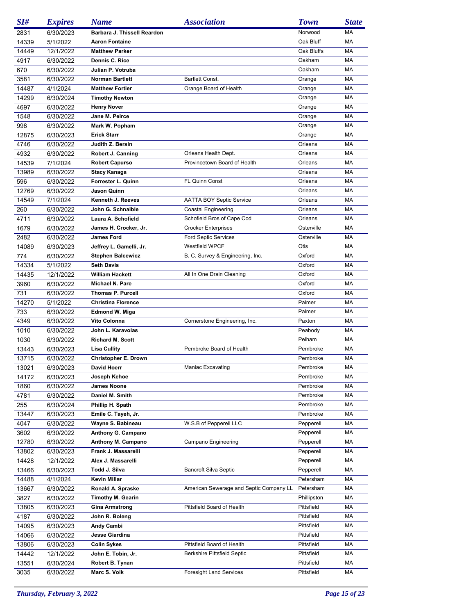| SI#   | <b>Expires</b> | <b>Name</b>                                   | <i><b>Association</b></i>               | <b>Town</b> | <b>State</b> |
|-------|----------------|-----------------------------------------------|-----------------------------------------|-------------|--------------|
| 2831  | 6/30/2023      | Barbara J. Thissell Reardon                   |                                         | Norwood     | MA           |
| 14339 | 5/1/2022       | <b>Aaron Fontaine</b>                         |                                         | Oak Bluff   | MA           |
| 14449 | 12/1/2022      | <b>Matthew Parker</b>                         |                                         | Oak Bluffs  | МA           |
| 4917  | 6/30/2022      | Dennis C. Rice                                |                                         | Oakham      | MA           |
| 670   | 6/30/2022      | Julian P. Votruba                             |                                         | Oakham      | MA           |
| 3581  | 6/30/2022      | <b>Norman Bartlett</b>                        | Bartlett Const.                         | Orange      | MA           |
| 14487 | 4/1/2024       | <b>Matthew Fortier</b>                        | Orange Board of Health                  | Orange      | MA           |
| 14299 | 6/30/2024      | <b>Timothy Newton</b>                         |                                         | Orange      | MA           |
| 4697  | 6/30/2022      | <b>Henry Nover</b>                            |                                         | Orange      | MA           |
| 1548  | 6/30/2022      | Jane M. Peirce                                |                                         | Orange      | MA           |
| 998   | 6/30/2022      | Mark W. Popham                                |                                         | Orange      | MA           |
| 12875 | 6/30/2023      | <b>Erick Starr</b>                            |                                         | Orange      | MA           |
| 4746  | 6/30/2022      | Judith Z. Bersin                              |                                         | Orleans     | MA           |
| 4932  | 6/30/2022      | Robert J. Canning                             | Orleans Health Dept.                    | Orleans     | MA           |
| 14539 |                | <b>Robert Capurso</b>                         | Provincetown Board of Health            | Orleans     | МA           |
|       | 7/1/2024       |                                               |                                         | Orleans     | MA           |
| 13989 | 6/30/2022      | Stacy Kanaga                                  |                                         |             |              |
| 596   | 6/30/2022      | Forrester L. Quinn                            | FL Quinn Const                          | Orleans     | MA           |
| 12769 | 6/30/2022      | Jason Quinn                                   |                                         | Orleans     | MA           |
| 14549 | 7/1/2024       | Kenneth J. Reeves                             | <b>AATTA BOY Septic Service</b>         | Orleans     | MA           |
| 260   | 6/30/2022      | John G. Schnaible                             | <b>Coastal Engineering</b>              | Orleans     | MA           |
| 4711  | 6/30/2022      | Laura A. Schofield                            | Schofield Bros of Cape Cod              | Orleans     | MA           |
| 1679  | 6/30/2022      | James H. Crocker, Jr.                         | <b>Crocker Enterprises</b>              | Osterville  | MA           |
| 2482  | 6/30/2022      | <b>James Ford</b>                             | <b>Ford Septic Services</b>             | Osterville  | MA           |
| 14089 | 6/30/2023      | Jeffrey L. Gamelli, Jr.                       | Westfield WPCF                          | Otis        | МA           |
| 774   | 6/30/2022      | <b>Stephen Balcewicz</b>                      | B. C. Survey & Engineering, Inc.        | Oxford      | MA           |
| 14334 | 5/1/2022       | <b>Seth Davis</b>                             |                                         | Oxford      | MA           |
| 14435 | 12/1/2022      | <b>William Hackett</b>                        | All In One Drain Cleaning               | Oxford      | MA           |
| 3960  | 6/30/2022      | Michael N. Pare                               |                                         | Oxford      | MA           |
| 731   | 6/30/2022      | <b>Thomas P. Purcell</b>                      |                                         | Oxford      | MA           |
| 14270 | 5/1/2022       | <b>Christina Florence</b>                     |                                         | Palmer      | MA           |
| 733   | 6/30/2022      | <b>Edmond W. Miga</b>                         |                                         | Palmer      | MA           |
| 4349  | 6/30/2022      | Vito Colonna                                  | Cornerstone Engineering, Inc.           | Paxton      | MA           |
| 1010  | 6/30/2022      | John L. Karavolas                             |                                         | Peabody     | MA           |
| 1030  | 6/30/2022      | <b>Richard M. Scott</b>                       |                                         | Pelham      | MA           |
| 13443 | 6/30/2023      | <b>Lisa Cullity</b>                           | Pembroke Board of Health                | Pembroke    | MA           |
| 13715 | 6/30/2022      | Christopher E. Drown                          |                                         | Pembroke    | MA           |
| 13021 | 6/30/2023      | <b>David Hoerr</b>                            | Maniac Excavating                       | Pembroke    | MA           |
| 14172 | 6/30/2023      | Joseph Kehoe                                  |                                         | Pembroke    | МA           |
| 1860  | 6/30/2022      | <b>James Noone</b>                            |                                         | Pembroke    | МA           |
| 4781  | 6/30/2022      | Daniel M. Smith                               |                                         | Pembroke    | MA           |
| 255   | 6/30/2024      | Phillip H. Spath                              |                                         | Pembroke    | МA           |
| 13447 | 6/30/2023      | Emile C. Tayeh, Jr.                           |                                         | Pembroke    | МA           |
| 4047  | 6/30/2022      | Wayne S. Babineau                             | W.S.B of Pepperell LLC                  | Pepperell   | МA           |
| 3602  | 6/30/2022      | Anthony G. Campano                            |                                         | Pepperell   | МA           |
| 12780 | 6/30/2022      | Anthony M. Campano                            | Campano Engineering                     | Pepperell   | МA           |
| 13802 | 6/30/2023      | Frank J. Massarelli                           |                                         | Pepperell   | МA           |
| 14428 | 12/1/2022      | Alex J. Massarelli                            |                                         | Pepperell   | МA           |
| 13466 | 6/30/2023      | Todd J. Silva                                 | <b>Bancroft Silva Septic</b>            | Pepperell   | МA           |
| 14488 | 4/1/2024       | <b>Kevin Millar</b>                           |                                         | Petersham   | МA           |
|       |                |                                               |                                         | Petersham   | МA           |
| 13667 | 6/30/2022      | Ronald A. Spraske<br><b>Timothy M. Gearin</b> | American Sewerage and Septic Company LL | Phillipston | МA           |
| 3827  | 6/30/2022      |                                               |                                         | Pittsfield  |              |
| 13805 | 6/30/2023      | <b>Gina Armstrong</b>                         | Pittsfield Board of Health              |             | МA           |
| 4187  | 6/30/2022      | John R. Boleng                                |                                         | Pittsfield  | МA           |
| 14095 | 6/30/2023      | Andy Cambi                                    |                                         | Pittsfield  | МA           |
| 14066 | 6/30/2022      | Jesse Giardina                                |                                         | Pittsfield  | МA           |
| 13806 | 6/30/2023      | <b>Colin Sykes</b>                            | Pittsfield Board of Health              | Pittsfield  | MA           |
| 14442 | 12/1/2022      | John E. Tobin, Jr.                            | <b>Berkshire Pittsfield Septic</b>      | Pittsfield  | МA           |
| 13551 | 6/30/2024      | Robert B. Tynan                               |                                         | Pittsfield  | МA           |
| 3035  | 6/30/2022      | Marc S. Volk                                  | <b>Foresight Land Services</b>          | Pittsfield  | МA           |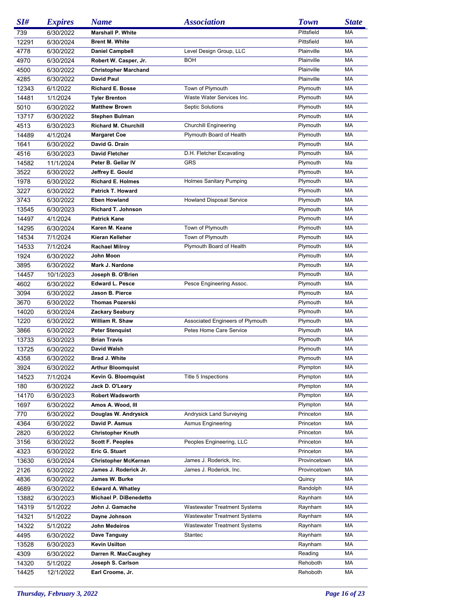| SI#   | <b>Expires</b> | <b>Name</b>                 | <b>Association</b>                  | <b>Town</b>  | <b>State</b> |
|-------|----------------|-----------------------------|-------------------------------------|--------------|--------------|
| 739   | 6/30/2022      | <b>Marshall P. White</b>    |                                     | Pittsfield   | МA           |
| 12291 | 6/30/2024      | <b>Brent M. White</b>       |                                     | Pittsfield   | МA           |
| 4778  | 6/30/2022      | <b>Daniel Campbell</b>      | Level Design Group, LLC             | Plainville   | МA           |
| 4970  | 6/30/2024      | Robert W. Casper, Jr.       | <b>BOH</b>                          | Plainville   | МA           |
| 4500  | 6/30/2022      | <b>Christopher Marchand</b> |                                     | Plainville   | МA           |
| 4285  | 6/30/2022      | <b>David Paul</b>           |                                     | Plainville   | МA           |
| 12343 | 6/1/2022       | <b>Richard E. Bosse</b>     | Town of Plymouth                    | Plymouth     | МA           |
| 14481 | 1/1/2024       | <b>Tyler Brenton</b>        | Waste Water Services Inc.           | Plymouth     | МA           |
| 5010  | 6/30/2022      | <b>Matthew Brown</b>        | <b>Septic Solutions</b>             | Plymouth     | МA           |
| 13717 | 6/30/2022      | Stephen Bulman              |                                     | Plymouth     | МA           |
| 4513  | 6/30/2023      | <b>Richard M. Churchill</b> | <b>Churchill Engineering</b>        | Plymouth     | МA           |
| 14489 | 4/1/2024       | <b>Margaret Coe</b>         | Plymouth Board of Health            | Plymouth     | МA           |
| 1641  | 6/30/2022      | David G. Drain              |                                     | Plymouth     | МA           |
| 4516  | 6/30/2023      | <b>David Fletcher</b>       | D.H. Fletcher Excavating            | Plymouth     | МA           |
| 14582 | 11/1/2024      | Peter B. Gellar IV          | <b>GRS</b>                          | Plymouth     | Ma           |
| 3522  | 6/30/2022      | Jeffrey E. Gould            |                                     | Plymouth     | МA           |
|       |                | <b>Richard E. Holmes</b>    | <b>Holmes Sanitary Pumping</b>      | Plymouth     | MA           |
| 1978  | 6/30/2022      | Patrick T. Howard           |                                     | Plymouth     | МA           |
| 3227  | 6/30/2022      |                             |                                     | Plymouth     | МA           |
| 3743  | 6/30/2022      | <b>Eben Howland</b>         | <b>Howland Disposal Service</b>     |              |              |
| 13545 | 6/30/2023      | <b>Richard T. Johnson</b>   |                                     | Plymouth     | MA           |
| 14497 | 4/1/2024       | <b>Patrick Kane</b>         |                                     | Plymouth     | МA           |
| 14295 | 6/30/2024      | Karen M. Keane              | Town of Plymouth                    | Plymouth     | MA           |
| 14534 | 7/1/2024       | Kieran Kelleher             | Town of Plymouth                    | Plymouth     | MA           |
| 14533 | 7/1/2024       | <b>Rachael Milroy</b>       | Plymouth Board of Health            | Plymouth     | MA           |
| 1924  | 6/30/2022      | John Moon                   |                                     | Plymouth     | MA           |
| 3895  | 6/30/2022      | Mark J. Nardone             |                                     | Plymouth     | MA           |
| 14457 | 10/1/2023      | Joseph B. O'Brien           |                                     | Plymouth     | MA           |
| 4602  | 6/30/2022      | <b>Edward L. Pesce</b>      | Pesce Engineering Assoc.            | Plymouth     | MA           |
| 3094  | 6/30/2022      | Jason B. Pierce             |                                     | Plymouth     | MA           |
| 3670  | 6/30/2022      | <b>Thomas Pozerski</b>      |                                     | Plymouth     | MA           |
| 14020 | 6/30/2024      | Zackary Seabury             |                                     | Plymouth     | MA           |
| 1220  | 6/30/2022      | William R. Shaw             | Associated Engineers of Plymouth    | Plymouth     | МA           |
| 3866  | 6/30/2022      | <b>Peter Stenquist</b>      | Petes Home Care Service             | Plymouth     | MA           |
| 13733 | 6/30/2023      | <b>Brian Travis</b>         |                                     | Plymouth     | MA           |
| 13725 | 6/30/2022      | David Walsh                 |                                     | Plymouth     | MA           |
| 4358  | 6/30/2022      | <b>Brad J. White</b>        |                                     | Plymouth     | МA           |
| 3924  | 6/30/2022      | <b>Arthur Bloomquist</b>    |                                     | Plympton     | MA           |
| 14523 | 7/1/2024       | Kevin G. Bloomquist         | Title 5 Inspections                 | Plympton     | МA           |
| 180   | 6/30/2022      | Jack D. O'Leary             |                                     | Plympton     | МA           |
| 14170 | 6/30/2023      | <b>Robert Wadsworth</b>     |                                     | Plympton     | МA           |
| 1697  | 6/30/2022      | Amos A. Wood, III           |                                     | Plympton     | МA           |
| 770   | 6/30/2022      | Douglas W. Andrysick        | Andrysick Land Surveying            | Princeton    | МA           |
| 4364  | 6/30/2022      | David P. Asmus              | Asmus Engineering                   | Princeton    | МA           |
| 2820  | 6/30/2022      | <b>Christopher Knuth</b>    |                                     | Princeton    | МA           |
| 3156  | 6/30/2022      | <b>Scott F. Peoples</b>     | Peoples Engineering, LLC            | Princeton    | МA           |
| 4323  | 6/30/2022      | Eric G. Stuart              |                                     | Princeton    | МA           |
| 13630 | 6/30/2024      | <b>Christopher McKernan</b> | James J. Roderick, Inc.             | Provincetown | МA           |
| 2126  | 6/30/2022      | James J. Roderick Jr.       | James J. Roderick, Inc.             | Provincetown | МA           |
| 4836  | 6/30/2022      | James W. Burke              |                                     | Quincy       | МA           |
| 4689  | 6/30/2022      | <b>Edward A. Whatley</b>    |                                     | Randolph     | МA           |
| 13882 | 6/30/2023      | Michael P. DiBenedetto      |                                     | Raynham      | МA           |
| 14319 | 5/1/2022       | John J. Gamache             | <b>Wastewater Treatment Systems</b> | Raynham      | МA           |
| 14321 | 5/1/2022       | Dayne Johnson               | <b>Wastewater Treatment Systems</b> | Raynham      | МA           |
| 14322 | 5/1/2022       | John Medeiros               | <b>Wastewater Treatment Systems</b> | Raynham      | МA           |
| 4495  | 6/30/2022      | Dave Tanguay                | Stantec                             | Raynham      | МA           |
|       | 6/30/2023      | <b>Kevin Usilton</b>        |                                     |              | МA           |
| 13528 |                |                             |                                     | Raynham      |              |
| 4309  | 6/30/2022      | Darren R. MacCaughey        |                                     | Reading      | МA           |
| 14320 | 5/1/2022       | Joseph S. Carlson           |                                     | Rehoboth     | МA           |
| 14425 | 12/1/2022      | Earl Croome, Jr.            |                                     | Rehoboth     | MA           |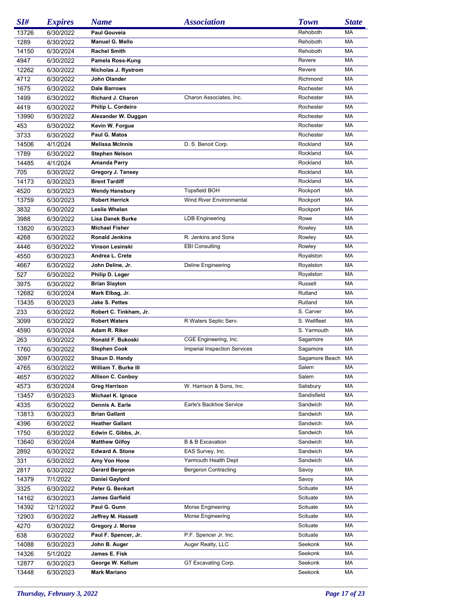| SI#   | <b>Expires</b> | <b>Name</b>              | <b>Association</b>                  | <b>Town</b>    | <b>State</b> |
|-------|----------------|--------------------------|-------------------------------------|----------------|--------------|
| 13726 | 6/30/2022      | Paul Gouveia             |                                     | Rehoboth       | MA           |
| 1289  | 6/30/2022      | Manuel G. Mello          |                                     | Rehoboth       | MA           |
| 14150 | 6/30/2024      | <b>Rachel Smith</b>      |                                     | Rehoboth       | МA           |
| 4947  | 6/30/2022      | Pamela Ross-Kung         |                                     | Revere         | МA           |
| 12262 | 6/30/2022      | Nicholas J. Rystrom      |                                     | Revere         | MA           |
| 4712  | 6/30/2022      | John Olander             |                                     | Richmond       | МA           |
| 1675  | 6/30/2022      | <b>Dale Barrows</b>      |                                     | Rochester      | МA           |
| 1499  | 6/30/2022      | <b>Richard J. Charon</b> | Charon Associates, Inc.             | Rochester      | МA           |
| 4419  | 6/30/2022      | Philip L. Cordeiro       |                                     | Rochester      | МA           |
| 13990 | 6/30/2022      | Alexander W. Duggan      |                                     | Rochester      | МA           |
| 453   | 6/30/2022      | Kevin W. Forgue          |                                     | Rochester      | МA           |
| 3733  | 6/30/2022      | Paul G. Matos            |                                     | Rochester      | МA           |
| 14506 | 4/1/2024       | <b>Melissa McInnis</b>   | D. S. Benoit Corp.                  | Rockland       | MA           |
| 1789  | 6/30/2022      | <b>Stephen Nelson</b>    |                                     | Rockland       | MA           |
| 14485 | 4/1/2024       | Amanda Parry             |                                     | Rockland       | MA           |
| 705   | 6/30/2022      | Gregory J. Tansey        |                                     | Rockland       | MA           |
| 14173 | 6/30/2023      | <b>Brent Tardiff</b>     |                                     | Rockland       | МA           |
| 4520  | 6/30/2023      | <b>Wendy Hansbury</b>    | <b>Topsfield BOH</b>                | Rockport       | MA           |
| 13759 | 6/30/2023      | <b>Robert Herrick</b>    | <b>Wind River Environmental</b>     | Rockport       | MA           |
| 3832  | 6/30/2022      | Leslie Whelan            |                                     | Rockport       | MA           |
| 3988  | 6/30/2022      | Lisa Danek Burke         | <b>LDB Engineering</b>              | Rowe           | MA           |
| 13820 | 6/30/2023      | <b>Michael Fisher</b>    |                                     | Rowley         | MA           |
| 4268  | 6/30/2022      | <b>Ronald Jenkins</b>    | R. Jenkins and Sons                 | Rowley         | MA           |
| 4446  | 6/30/2022      | Vinson Lesinski          | <b>EBI Consulting</b>               | Rowley         | MA           |
| 4550  | 6/30/2023      | Andrea L. Crete          |                                     | Royalston      | МA           |
| 4667  | 6/30/2022      | John Deline, Jr.         | <b>Deline Engineering</b>           | Royalston      | MA           |
| 527   | 6/30/2022      | Philip D. Leger          |                                     | Royalston      | MA           |
| 3975  | 6/30/2022      | <b>Brian Slayton</b>     |                                     | Russell        | МA           |
| 12682 | 6/30/2024      | Mark Elbag, Jr.          |                                     | Rutland        | MA           |
| 13435 | 6/30/2023      | <b>Jake S. Pettes</b>    |                                     | Rutland        | MA           |
| 233   | 6/30/2022      | Robert C. Tinkham, Jr.   |                                     | S. Carver      | MA           |
| 3099  | 6/30/2022      | <b>Robert Waters</b>     | R Waters Septic Serv.               | S. Wellfleet   | MA           |
| 4590  | 6/30/2024      | Adam R. Riker            |                                     | S. Yarmouth    | МA           |
| 263   | 6/30/2022      | Ronald F. Bukoski        | CGE Engineering, Inc.               | Sagamore       | МA           |
| 1760  | 6/30/2022      | <b>Stephen Cook</b>      | <b>Imperial Inspection Services</b> | Sagamore       | <b>MA</b>    |
| 3097  | 6/30/2022      | Shaun D. Handy           |                                     | Sagamore Beach | MA           |
| 4765  | 6/30/2022      | William T. Burke III     |                                     | Salem          | MA           |
| 4657  | 6/30/2022      | <b>Allison C. Conboy</b> |                                     | Salem          | МA           |
| 4573  | 6/30/2024      | <b>Greg Harrison</b>     | W. Harrison & Sons, Inc.            | Salisbury      | МA           |
| 13457 | 6/30/2023      | Michael K. Ignace        |                                     | Sandisfield    | МA           |
| 4335  | 6/30/2022      | Dennis A. Earle          | Earle's Backhoe Service             | Sandwich       | МA           |
| 13813 | 6/30/2023      | <b>Brian Gallant</b>     |                                     | Sandwich       | МA           |
| 4396  | 6/30/2022      | <b>Heather Gallant</b>   |                                     | Sandwich       | МA           |
| 1750  | 6/30/2022      | Edwin C. Gibbs, Jr.      |                                     | Sandwich       | МA           |
| 13640 | 6/30/2024      | <b>Matthew Gilfoy</b>    | <b>B &amp; B Excavation</b>         | Sandwich       | МA           |
| 2892  | 6/30/2022      | <b>Edward A. Stone</b>   | EAS Survey, Inc.                    | Sandwich       | МA           |
| 331   | 6/30/2022      | Amy Von Hone             | Yarmouth Health Dept                | Sandwich       | МA           |
| 2817  | 6/30/2022      | <b>Gerard Bergeron</b>   | <b>Bergeron Contracting</b>         | Savoy          | МA           |
| 14379 | 7/1/2022       | <b>Daniel Gaylord</b>    |                                     | Savoy          | МA           |
| 3325  | 6/30/2022      | Peter G. Benkart         |                                     | Scituate       | МA           |
| 14162 | 6/30/2023      | <b>James Garfield</b>    |                                     | Scituate       | МA           |
| 14392 | 12/1/2022      | Paul G. Gunn             | Morse Engineering                   | Scituate       | МA           |
| 12903 | 6/30/2022      | Jeffrey M. Hassett       | Morse Engineering                   | Scituate       | МA           |
| 4270  | 6/30/2022      | Gregory J. Morse         |                                     | Scituate       | МA           |
| 638   | 6/30/2022      | Paul F. Spencer, Jr.     | P.F. Spencer Jr. Inc.               | Scituate       | МA           |
| 14088 | 6/30/2023      | John B. Auger            | Auger Realty, LLC                   | Seekonk        | МA           |
| 14326 | 5/1/2022       | James E. Fisk            |                                     | Seekonk        | МA           |
| 12877 | 6/30/2023      | George W. Kellum         | GT Excavating Corp.                 | Seekonk        | МA           |
| 13448 | 6/30/2023      | <b>Mark Mariano</b>      |                                     | Seekonk        | МA           |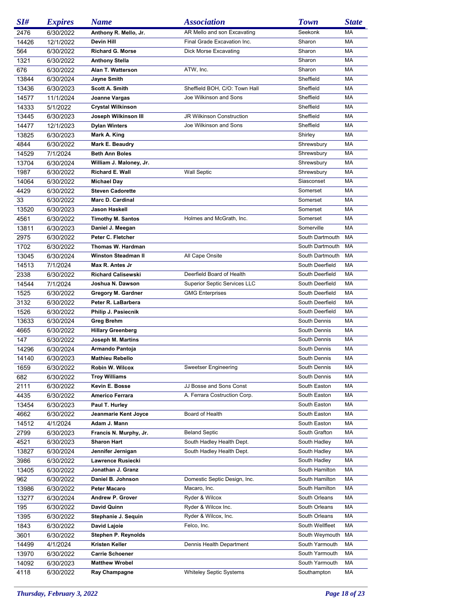| SI#   | <i><b>Expires</b></i>  | <b>Name</b>                | <b>Association</b>                  | <b>Town</b>                  | <b>State</b> |
|-------|------------------------|----------------------------|-------------------------------------|------------------------------|--------------|
| 2476  | 6/30/2022              | Anthony R. Mello, Jr.      | AR Mello and son Excavating         | Seekonk                      | МA           |
| 14426 | 12/1/2022              | <b>Devin Hill</b>          | Final Grade Excavation Inc.         | Sharon                       | МA           |
| 564   | 6/30/2022              | <b>Richard G. Morse</b>    | Dick Morse Excavating               | Sharon                       | МA           |
| 1321  | 6/30/2022              | <b>Anthony Stella</b>      |                                     | Sharon                       | МA           |
| 676   | 6/30/2022              | Alan T. Watterson          | ATW, Inc.                           | Sharon                       | МA           |
| 13844 | 6/30/2024              | <b>Jayne Smith</b>         |                                     | Sheffield                    | МA           |
| 13436 | 6/30/2023              | Scott A. Smith             | Sheffield BOH, C/O: Town Hall       | Sheffield                    | МA           |
| 14577 | 11/1/2024              | Joanne Vargas              | Joe Wilkinson and Sons              | Sheffield                    | МA           |
| 14333 | 5/1/2022               | <b>Crystal Wilkinson</b>   |                                     | Sheffield                    | МA           |
| 13445 | 6/30/2023              | Joseph Wilkinson III       | JR Wilkinson Construction           | Sheffield                    | МA           |
| 14477 | 12/1/2023              | <b>Dylan Winters</b>       | Joe Wilkinson and Sons              | Sheffield                    | МA           |
|       |                        |                            |                                     |                              | МA           |
| 13825 | 6/30/2023              | Mark A. King               |                                     | Shirley                      | МA           |
| 4844  | 6/30/2022              | Mark E. Beaudry            |                                     | Shrewsbury                   |              |
| 14529 | 7/1/2024               | <b>Beth Ann Boles</b>      |                                     | Shrewsbury                   | МA           |
| 13704 | 6/30/2024              | William J. Maloney, Jr.    |                                     | Shrewsbury                   | МA           |
| 1987  | 6/30/2022              | Richard E. Wall            | <b>Wall Septic</b>                  | Shrewsbury                   | МA           |
| 14064 | 6/30/2022              | <b>Michael Day</b>         |                                     | Siasconset                   | МA           |
| 4429  | 6/30/2022              | <b>Steven Cadorette</b>    |                                     | Somerset                     | МA           |
| 33    | 6/30/2022              | <b>Marc D. Cardinal</b>    |                                     | Somerset                     | МA           |
| 13520 | 6/30/2023              | Jason Haskell              |                                     | Somerset                     | МA           |
| 4561  | 6/30/2022              | <b>Timothy M. Santos</b>   | Holmes and McGrath, Inc.            | Somerset                     | МA           |
| 13811 | 6/30/2023              | Daniel J. Meegan           |                                     | Somerville                   | МA           |
| 2975  | 6/30/2022              | Peter C. Fletcher          |                                     | South Dartmouth              | MA           |
| 1702  | 6/30/2022              | Thomas W. Hardman          |                                     | South Dartmouth              | MA           |
| 13045 | 6/30/2024              | <b>Winston Steadman II</b> | All Cape Onsite                     | South Dartmouth              | MA           |
| 14513 | 7/1/2024               | Max R. Antes Jr            |                                     | South Deerfield              | МA           |
| 2338  | 6/30/2022              | <b>Richard Calisewski</b>  | Deerfield Board of Health           | South Deerfield              | МA           |
| 14544 | 7/1/2024               | Joshua N. Dawson           | <b>Superior Septic Services LLC</b> | South Deerfield              | МA           |
| 1525  | 6/30/2022              | Gregory M. Gardner         | <b>GMG Enterprises</b>              | South Deerfield              | МA           |
| 3132  | 6/30/2022              | Peter R. LaBarbera         |                                     | South Deerfield              | МA           |
| 1526  | 6/30/2022              | Philip J. Pasiecnik        |                                     | South Deerfield              | МA           |
| 13633 | 6/30/2024              | Greg Brehm                 |                                     | South Dennis                 | МA           |
| 4665  | 6/30/2022              | <b>Hillary Greenberg</b>   |                                     | South Dennis                 | МA           |
| 147   | 6/30/2022              | Joseph M. Martins          |                                     | South Dennis                 | МA           |
| 14296 | 6/30/2024              | Armando Pantoja            |                                     | South Dennis                 | МA           |
| 14140 | 6/30/2023              | <b>Mathieu Rebello</b>     |                                     | South Dennis                 | МA           |
| 1659  | 6/30/2022              | Robin W. Wilcox            | Sweetser Engineering                | South Dennis                 | MA           |
| 682   | 6/30/2022              | <b>Troy Williams</b>       |                                     | South Dennis                 | МA           |
| 2111  | 6/30/2022              | Kevin E. Bosse             | JJ Bosse and Sons Const             | South Easton                 | МA           |
|       |                        |                            | A. Ferrara Costruction Corp.        |                              |              |
| 4435  | 6/30/2022              | Americo Ferrara            |                                     | South Easton<br>South Easton | МA<br>МA     |
| 13454 | 6/30/2023<br>6/30/2022 | Paul T. Hurley             | Board of Health                     |                              |              |
| 4662  |                        | Jeanmarie Kent Joyce       |                                     | South Easton                 | МA           |
| 14512 | 4/1/2024               | Adam J. Mann               |                                     | South Easton                 | МA           |
| 2799  | 6/30/2023              | Francis N. Murphy, Jr.     | <b>Beland Septic</b>                | South Grafton                | МA           |
| 4521  | 6/30/2023              | <b>Sharon Hart</b>         | South Hadley Health Dept.           | South Hadley                 | MA           |
| 13827 | 6/30/2024              | Jennifer Jernigan          | South Hadley Health Dept.           | South Hadley                 | МA           |
| 3986  | 6/30/2022              | Lawrence Rusiecki          |                                     | South Hadley                 | МA           |
| 13405 | 6/30/2022              | Jonathan J. Granz          |                                     | South Hamilton               | МA           |
| 962   | 6/30/2022              | Daniel B. Johnson          | Domestic Septic Design, Inc.        | South Hamilton               | МA           |
| 13986 | 6/30/2022              | <b>Peter Macaro</b>        | Macaro, Inc.                        | South Hamilton               | МA           |
| 13277 | 6/30/2024              | Andrew P. Grover           | Ryder & Wilcox                      | South Orleans                | МA           |
| 195   | 6/30/2022              | David Quinn                | Ryder & Wilcox Inc.                 | South Orleans                | МA           |
| 1395  | 6/30/2022              | Stephanie J. Sequin        | Ryder & Wilcox, Inc.                | South Orleans                | МA           |
| 1843  | 6/30/2022              | David Lajoie               | Felco, Inc.                         | South Wellfleet              | МA           |
| 3601  | 6/30/2022              | Stephen P. Reynolds        |                                     | South Weymouth               | МA           |
| 14499 | 4/1/2024               | Kristen Keller             | Dennis Health Department            | South Yarmouth               | МA           |
| 13970 | 6/30/2022              | <b>Carrie Schoener</b>     |                                     | South Yarmouth               | МA           |
| 14092 | 6/30/2023              | <b>Matthew Wrobel</b>      |                                     | South Yarmouth               | МA           |
| 4118  | 6/30/2022              | Ray Champagne              | <b>Whiteley Septic Systems</b>      | Southampton                  | МA           |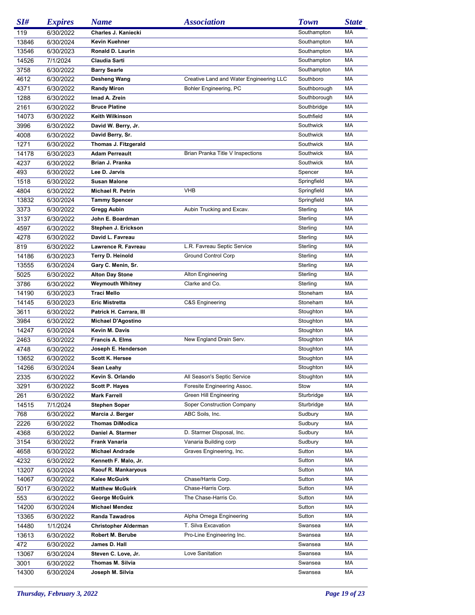| SI#   | <b>Expires</b> | <b>Name</b>                 | <b>Association</b>                      | <b>Town</b>  | <b>State</b> |
|-------|----------------|-----------------------------|-----------------------------------------|--------------|--------------|
| 119   | 6/30/2022      | Charles J. Kaniecki         |                                         | Southampton  | МA           |
| 13846 | 6/30/2024      | Kevin Kuehner               |                                         | Southampton  | MA           |
| 13546 | 6/30/2023      | Ronald D. Laurin            |                                         | Southampton  | MA           |
| 14526 | 7/1/2024       | Claudia Sarti               |                                         | Southampton  | MA           |
| 3758  | 6/30/2022      | <b>Barry Searle</b>         |                                         | Southampton  | MA           |
| 4612  | 6/30/2022      | Desheng Wang                | Creative Land and Water Engineering LLC | Southboro    | MA           |
| 4371  | 6/30/2022      | <b>Randy Miron</b>          | Bohler Engineering, PC                  | Southborough | МA           |
| 1288  | 6/30/2022      | Imad A. Zrein               |                                         | Southborough | MA           |
| 2161  | 6/30/2022      | <b>Bruce Platine</b>        |                                         | Southbridge  | MA           |
| 14073 | 6/30/2022      | <b>Keith Wilkinson</b>      |                                         | Southfield   | MA           |
| 3996  | 6/30/2022      | David W. Berry, Jr.         |                                         | Southwick    | МA           |
| 4008  | 6/30/2022      | David Berry, Sr.            |                                         | Southwick    | МA           |
| 1271  | 6/30/2022      | Thomas J. Fitzgerald        |                                         | Southwick    | МA           |
| 14178 | 6/30/2023      | <b>Adam Perreault</b>       | Brian Pranka Title V Inspections        | Southwick    | МA           |
| 4237  | 6/30/2022      | Brian J. Pranka             |                                         | Southwick    | МA           |
| 493   | 6/30/2022      | Lee D. Jarvis               |                                         | Spencer      | МA           |
| 1518  | 6/30/2022      | <b>Susan Malone</b>         |                                         | Springfield  | МA           |
| 4804  | 6/30/2022      | <b>Michael R. Petrin</b>    | <b>VHB</b>                              | Springfield  | MA           |
| 13832 | 6/30/2024      | <b>Tammy Spencer</b>        |                                         | Springfield  | МA           |
| 3373  | 6/30/2022      | Gregg Aubin                 | Aubin Trucking and Excav.               | Sterling     | МA           |
| 3137  | 6/30/2022      | John E. Boardman            |                                         | Sterling     | MA           |
| 4597  | 6/30/2022      | Stephen J. Erickson         |                                         | Sterling     | МA           |
| 4278  | 6/30/2022      | David L. Favreau            |                                         | Sterling     | MA           |
| 819   | 6/30/2022      | Lawrence R. Favreau         | L.R. Favreau Septic Service             | Sterling     | МA           |
| 14186 | 6/30/2023      | Terry D. Heinold            | <b>Ground Control Corp</b>              | Sterling     | МA           |
| 13555 | 6/30/2024      | Gary C. Menin, Sr.          |                                         | Sterling     | МA           |
| 5025  | 6/30/2022      | <b>Alton Day Stone</b>      | Alton Engineering                       | Sterling     | МA           |
| 3786  | 6/30/2022      | <b>Weymouth Whitney</b>     | Clarke and Co.                          | Sterling     | МA           |
| 14190 | 6/30/2023      | Traci Mello                 |                                         | Stoneham     | МA           |
| 14145 | 6/30/2023      | <b>Eric Mistretta</b>       | C&S Engineering                         | Stoneham     | МA           |
| 3611  | 6/30/2022      | Patrick H. Carrara, III     |                                         | Stoughton    | МA           |
| 3984  | 6/30/2022      | <b>Michael D'Agostino</b>   |                                         | Stoughton    | МA           |
| 14247 | 6/30/2024      | Kevin M. Davis              |                                         | Stoughton    | МA           |
| 2463  | 6/30/2022      | <b>Francis A. Elms</b>      | New England Drain Serv.                 | Stoughton    | МA           |
| 4748  | 6/30/2022      | Joseph E. Henderson         |                                         | Stoughton    | МA           |
| 13652 | 6/30/2022      | <b>Scott K. Hersee</b>      |                                         | Stoughton    | МA           |
| 14266 | 6/30/2024      | Sean Leahy                  |                                         | Stoughton    | MA           |
| 2335  | 6/30/2022      | Kevin S. Orlando            | All Season's Septic Service             | Stoughton    | МA           |
| 3291  | 6/30/2022      | <b>Scott P. Hayes</b>       | Foresite Engineering Assoc.             | Stow         | МA           |
| 261   | 6/30/2022      | <b>Mark Farrell</b>         | Green Hill Engineering                  | Sturbridge   | МA           |
| 14515 | 7/1/2024       | <b>Stephen Soper</b>        | Soper Construction Company              | Sturbridge   | МA           |
| 768   | 6/30/2022      | Marcia J. Berger            | ABC Soils, Inc.                         | Sudbury      | МA           |
| 2226  | 6/30/2022      | <b>Thomas DiModica</b>      |                                         | Sudbury      | МA           |
| 4368  | 6/30/2022      | Daniel A. Starmer           | D. Starmer Disposal, Inc.               | Sudbury      | МA           |
| 3154  | 6/30/2022      | Frank Vanaria               | Vanaria Building corp                   | Sudbury      | МA           |
| 4658  | 6/30/2022      | <b>Michael Andrade</b>      | Graves Engineering, Inc.                | Sutton       | МA           |
| 4232  | 6/30/2022      | Kenneth F. Malo, Jr.        |                                         | Sutton       | МA           |
| 13207 | 6/30/2024      | Raouf R. Mankaryous         |                                         | Sutton       | МA           |
| 14067 | 6/30/2022      | Kalee McGuirk               | Chase/Harris Corp.                      | Sutton       | МA           |
| 5017  | 6/30/2022      | <b>Matthew McGuirk</b>      | Chase-Harris Corp.                      | Sutton       | МA           |
| 553   | 6/30/2022      | George McGuirk              | The Chase-Harris Co.                    | Sutton       | МA           |
| 14200 | 6/30/2024      | <b>Michael Mendez</b>       |                                         | Sutton       | МA           |
| 13365 | 6/30/2022      | <b>Randa Tawadros</b>       | Alpha Omega Engineering                 | Sutton       | МA           |
| 14480 | 1/1/2024       | <b>Christopher Alderman</b> | T. Silva Excavation                     | Swansea      | МA           |
| 13613 | 6/30/2022      | Robert M. Berube            | Pro-Line Engineering Inc.               | Swansea      | МA           |
| 472   | 6/30/2022      | James D. Hall               |                                         | Swansea      | МA           |
| 13067 | 6/30/2024      | Steven C. Love, Jr.         | Love Sanitation                         | Swansea      | МA           |
| 3001  | 6/30/2022      | Thomas M. Silvia            |                                         | Swansea      | МA           |
| 14300 | 6/30/2024      | Joseph M. Silvia            |                                         | Swansea      | МA           |
|       |                |                             |                                         |              |              |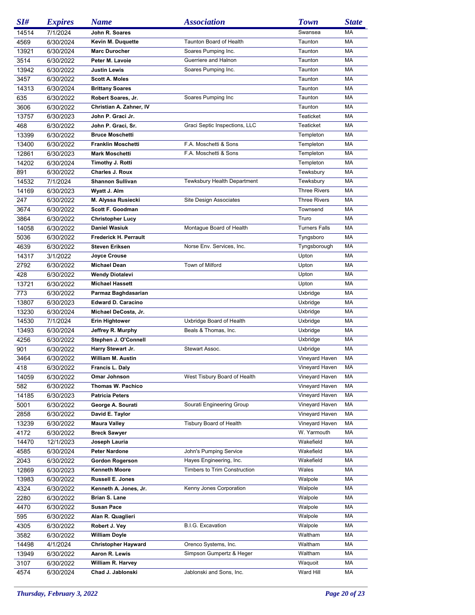| SI#   | <b>Expires</b> | <b>Name</b>                | <b>Association</b>             | <b>Town</b>          | <b>State</b> |
|-------|----------------|----------------------------|--------------------------------|----------------------|--------------|
| 14514 | 7/1/2024       | John R. Soares             |                                | Swansea              | МA           |
| 4569  | 6/30/2024      | Kevin M. Duquette          | <b>Taunton Board of Health</b> | Taunton              | MA           |
| 13921 | 6/30/2024      | <b>Marc Durocher</b>       | Soares Pumping Inc.            | Taunton              | МA           |
| 3514  | 6/30/2022      | Peter M. Lavoie            | Guerriere and Halnon           | Taunton              | MA           |
| 13942 | 6/30/2022      | Justin Lewis               | Soares Pumping Inc.            | Taunton              | MA           |
| 3457  | 6/30/2022      | <b>Scott A. Moles</b>      |                                | Taunton              | МA           |
| 14313 | 6/30/2024      | <b>Brittany Soares</b>     |                                | Taunton              | MA           |
| 635   | 6/30/2022      | Robert Soares, Jr.         | Soares Pumping Inc             | Taunton              | MA           |
| 3606  | 6/30/2022      | Christian A. Zahner, IV    |                                | Taunton              | MA           |
| 13757 | 6/30/2023      | John P. Graci Jr.          |                                | Teaticket            | MA           |
| 468   | 6/30/2022      | John P. Graci, Sr.         | Graci Septic Inspections, LLC  | Teaticket            | MA           |
| 13399 | 6/30/2022      | <b>Bruce Moschetti</b>     |                                | Templeton            | MA           |
| 13400 | 6/30/2022      | Franklin Moschetti         | F.A. Moschetti & Sons          | Templeton            | MA           |
| 12861 | 6/30/2023      | <b>Mark Moschetti</b>      | F.A. Moschetti & Sons          | Templeton            | МA           |
| 14202 | 6/30/2024      | Timothy J. Rotti           |                                | Templeton            | MA           |
| 891   | 6/30/2022      | <b>Charles J. Roux</b>     |                                | Tewksbury            | MA           |
| 14532 | 7/1/2024       | <b>Shannon Sullivan</b>    | Tewksbury Health Department    | Tewksbury            | МA           |
| 14169 | 6/30/2023      | Wyatt J. Alm               |                                | <b>Three Rivers</b>  | MA           |
| 247   | 6/30/2022      | M. Alyssa Rusiecki         | <b>Site Design Associates</b>  | <b>Three Rivers</b>  | MA           |
| 3674  | 6/30/2022      | Scott F. Goodman           |                                | Townsend             | МA           |
| 3864  | 6/30/2022      | <b>Christopher Lucy</b>    |                                | Truro                | MA           |
| 14058 | 6/30/2022      | <b>Daniel Wasiuk</b>       | Montague Board of Health       | <b>Turners Falls</b> | МA           |
| 5036  | 6/30/2022      | Frederick H. Perrault      |                                | Tyngsboro            | MA           |
| 4639  | 6/30/2022      | <b>Steven Eriksen</b>      | Norse Env. Services, Inc.      | Tyngsborough         | MA           |
| 14317 | 3/1/2022       | <b>Joyce Crouse</b>        |                                | Upton                | МA           |
| 2792  | 6/30/2022      | <b>Michael Dean</b>        | Town of Milford                | Upton                | MA           |
| 428   | 6/30/2022      | <b>Wendy Diotalevi</b>     |                                | Upton                | МA           |
| 13721 | 6/30/2022      | <b>Michael Hassett</b>     |                                | Upton                | МA           |
| 773   | 6/30/2022      | Parmaz Baghdasarian        |                                | Uxbridge             | MA           |
| 13807 | 6/30/2023      | <b>Edward D. Caracino</b>  |                                | Uxbridge             | МA           |
| 13230 | 6/30/2024      | Michael DeCosta, Jr.       |                                | Uxbridge             | МA           |
| 14530 | 7/1/2024       | <b>Erin Hightower</b>      | Uxbridge Board of Health       | Uxbridge             | МA           |
| 13493 | 6/30/2024      | Jeffrey R. Murphy          | Beals & Thomas, Inc.           | Uxbridge             | МA           |
| 4256  | 6/30/2022      | Stephen J. O'Connell       |                                | Uxbridge             | MA           |
| 901   | 6/30/2022      | Harry Stewart Jr.          | Stewart Assoc.                 | Uxbridge             | МA           |
| 3464  | 6/30/2022      | William M. Austin          |                                | Vineyard Haven       | МA           |
| 418   | 6/30/2022      | Francis L. Daly            |                                | Vineyard Haven       | MA           |
| 14059 | 6/30/2022      | Omar Johnson               | West Tisbury Board of Health   | Vineyard Haven       | МA           |
| 582   | 6/30/2022      | Thomas W. Pachico          |                                | Vineyard Haven       | MA           |
| 14185 | 6/30/2023      | <b>Patricia Peters</b>     |                                | Vineyard Haven       | МA           |
| 5001  | 6/30/2022      | George A. Sourati          | Sourati Engineering Group      | Vineyard Haven       | МA           |
| 2858  | 6/30/2022      | David E. Taylor            |                                | Vineyard Haven       | МA           |
| 13239 | 6/30/2022      | <b>Maura Valley</b>        | Tisbury Board of Health        | Vineyard Haven       | МA           |
| 4172  | 6/30/2022      | <b>Breck Sawyer</b>        |                                | W. Yarmouth          | МA           |
| 14470 | 12/1/2023      | Joseph Lauria              |                                | Wakefield            | МA           |
| 4585  | 6/30/2024      | <b>Peter Nardone</b>       | John's Pumping Service         | Wakefield            | МA           |
| 2043  | 6/30/2022      | Gordon Rogerson            | Hayes Engineering, Inc.        | Wakefield            | МA           |
| 12869 | 6/30/2023      | Kenneth Moore              | Timbers to Trim Construction   | Wales                | МA           |
| 13983 | 6/30/2022      | <b>Russell E. Jones</b>    |                                | Walpole              | МA           |
| 4324  | 6/30/2022      | Kenneth A. Jones, Jr.      | Kenny Jones Corporation        | Walpole              | МA           |
| 2280  | 6/30/2022      | Brian S. Lane              |                                | Walpole              | МA           |
| 4470  | 6/30/2022      | Susan Pace                 |                                | Walpole              | МA           |
| 595   | 6/30/2022      | Alan R. Quaglieri          |                                | Walpole              | МA           |
|       |                | Robert J. Vey              | B.I.G. Excavation              | Walpole              | МA           |
| 4305  | 6/30/2022      |                            |                                |                      |              |
| 3582  | 6/30/2022      | <b>William Doyle</b>       |                                | Waltham              | МA           |
| 14498 | 4/1/2024       | <b>Christopher Hayward</b> | Orenco Systems, Inc.           | Waltham              | МA           |
| 13949 | 6/30/2022      | Aaron R. Lewis             | Simpson Gumpertz & Heger       | Waltham              | МA           |
| 3107  | 6/30/2022      | William R. Harvey          |                                | Waquoit              | МA           |
| 4574  | 6/30/2024      | Chad J. Jablonski          | Jablonski and Sons, Inc.       | Ward Hill            | МA           |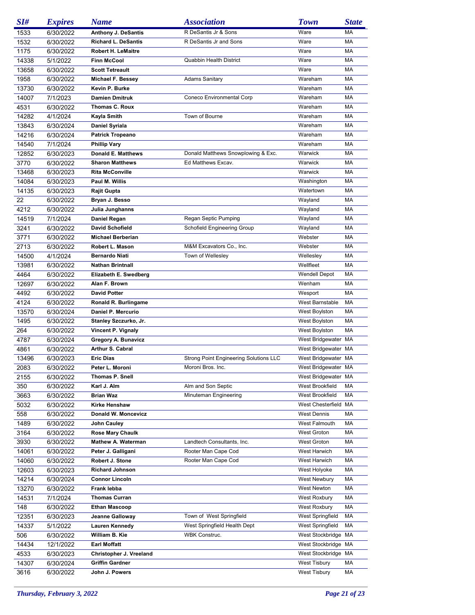| SI#   | <b>Expires</b> | <b>Name</b>                | <b>Association</b>                     | <b>Town</b>          | <b>State</b> |
|-------|----------------|----------------------------|----------------------------------------|----------------------|--------------|
| 1533  | 6/30/2022      | <b>Anthony J. DeSantis</b> | R DeSantis Jr & Sons                   | Ware                 | МA           |
| 1532  | 6/30/2022      | <b>Richard L. DeSantis</b> | R DeSantis Jr and Sons                 | Ware                 | МA           |
| 1175  | 6/30/2022      | <b>Robert H. LeMaitre</b>  |                                        | Ware                 | МA           |
| 14338 | 5/1/2022       | <b>Finn McCool</b>         | <b>Quabbin Health District</b>         | Ware                 | МA           |
| 13658 | 6/30/2022      | <b>Scott Tetreault</b>     |                                        | Ware                 | МA           |
| 1958  | 6/30/2022      | <b>Michael F. Bessey</b>   | <b>Adams Sanitary</b>                  | Wareham              | МA           |
| 13730 | 6/30/2022      | Kevin P. Burke             |                                        | Wareham              | МA           |
| 14007 | 7/1/2023       | <b>Damien Dmitruk</b>      | Coneco Environmental Corp              | Wareham              | МA           |
| 4531  | 6/30/2022      | Thomas C. Roux             |                                        | Wareham              | МA           |
| 14282 | 4/1/2024       | Kayla Smith                | Town of Bourne                         | Wareham              | МA           |
| 13843 | 6/30/2024      | Daniel Syriala             |                                        | Wareham              | МA           |
| 14216 | 6/30/2024      | <b>Patrick Tropeano</b>    |                                        | Wareham              | МA           |
| 14540 | 7/1/2024       | <b>Phillip Vary</b>        |                                        | Wareham              | МA           |
| 12852 | 6/30/2023      | <b>Donald E. Matthews</b>  | Donald Matthews Snowplowing & Exc.     | Warwick              | МA           |
| 3770  | 6/30/2022      | <b>Sharon Matthews</b>     | Ed Matthews Excav.                     | Warwick              | МA           |
| 13468 | 6/30/2023      | <b>Rita McConville</b>     |                                        | Warwick              | MA           |
| 14084 | 6/30/2023      | Paul M. Willis             |                                        | Washington           | МA           |
| 14135 | 6/30/2023      | Rajit Gupta                |                                        | Watertown            | МA           |
| 22    | 6/30/2022      | Bryan J. Besso             |                                        | Wayland              | МA           |
| 4212  | 6/30/2022      | Julia Junghanns            |                                        | Wayland              | МA           |
| 14519 | 7/1/2024       | Daniel Regan               | Regan Septic Pumping                   | Wayland              | MA           |
| 3241  | 6/30/2022      | <b>David Schofield</b>     | <b>Schofield Engineering Group</b>     | Wayland              | МA           |
| 3771  | 6/30/2022      | <b>Michael Berberian</b>   |                                        | Webster              | МA           |
| 2713  | 6/30/2022      | Robert L. Mason            | M&M Excavators Co., Inc.               | Webster              | MA           |
| 14500 | 4/1/2024       | <b>Bernardo Niati</b>      | Town of Wellesley                      | Wellesley            | МA           |
| 13981 | 6/30/2022      | Nathan Brintnall           |                                        | Wellfleet            | MA           |
| 4464  | 6/30/2022      | Elizabeth E. Swedberg      |                                        | <b>Wendell Depot</b> | MA           |
| 12697 | 6/30/2022      | Alan F. Brown              |                                        | Wenham               | МA           |
| 4492  | 6/30/2022      | <b>David Potter</b>        |                                        | Wesport              | MA           |
| 4124  | 6/30/2022      | Ronald R. Burlingame       |                                        | West Barnstable      | MA           |
| 13570 | 6/30/2024      | Daniel P. Mercurio         |                                        | West Boylston        | MA           |
| 1495  | 6/30/2022      | Stanley Szczurko, Jr.      |                                        | West Boylston        | MA           |
| 264   | 6/30/2022      | Vincent P. Vignaly         |                                        | West Boylston        | MA           |
| 4787  | 6/30/2024      | <b>Gregory A. Bunavicz</b> |                                        | West Bridgewater MA  |              |
| 4861  | 6/30/2022      | Arthur S. Cabral           |                                        | West Bridgewater MA  |              |
| 13496 | 6/30/2023      | <b>Eric Dias</b>           | Strong Point Engineering Solutions LLC | West Bridgewater MA  |              |
| 2083  | 6/30/2022      | Peter L. Moroni            | Moroni Bros. Inc.                      | West Bridgewater MA  |              |
| 2155  | 6/30/2022      | Thomas P. Snell            |                                        | West Bridgewater MA  |              |
| 350   | 6/30/2022      | Karl J. Alm                | Alm and Son Septic                     | West Brookfield      | МA           |
| 3663  | 6/30/2022      | <b>Brian Waz</b>           | Minuteman Engineering                  | West Brookfield      | МA           |
| 5032  | 6/30/2022      | Kirke Henshaw              |                                        | West Chesterfield MA |              |
| 558   | 6/30/2022      | Donald W. Moncevicz        |                                        | <b>West Dennis</b>   | MA           |
| 1489  | 6/30/2022      | John Cauley                |                                        | West Falmouth        | МA           |
| 3164  | 6/30/2022      | <b>Rose Mary Chaulk</b>    |                                        | West Groton          | MA           |
| 3930  | 6/30/2022      | <b>Mathew A. Waterman</b>  | Landtech Consultants, Inc.             | West Groton          | МA           |
| 14061 | 6/30/2022      | Peter J. Galligani         | Rooter Man Cape Cod                    | West Harwich         | МA           |
| 14060 | 6/30/2022      | Robert J. Stone            | Rooter Man Cape Cod                    | West Harwich         | МA           |
| 12603 | 6/30/2023      | <b>Richard Johnson</b>     |                                        | West Holyoke         | MA           |
| 14214 | 6/30/2024      | <b>Connor Lincoln</b>      |                                        | West Newbury         | МA           |
| 13270 | 6/30/2022      | Frank lebba                |                                        | West Newton          | MA           |
| 14531 | 7/1/2024       | Thomas Curran              |                                        | West Roxbury         | MA           |
| 148   | 6/30/2022      | <b>Ethan Mascoop</b>       |                                        | West Roxbury         | МA           |
| 12351 | 6/30/2023      | Jeanne Galloway            | Town of West Springfield               | West Springfield     | MA           |
| 14337 | 5/1/2022       | Lauren Kennedy             | West Springfield Health Dept           | West Springfield     | МA           |
| 506   | 6/30/2022      | William B. Kie             | <b>WBK Construc.</b>                   | West Stockbridge MA  |              |
| 14434 | 12/1/2022      | Earl Moffatt               |                                        | West Stockbridge MA  |              |
| 4533  | 6/30/2023      | Christopher J. Vreeland    |                                        | West Stockbridge MA  |              |
| 14307 | 6/30/2024      | <b>Griffin Gardner</b>     |                                        | West Tisbury         | МA           |
| 3616  | 6/30/2022      | John J. Powers             |                                        | <b>West Tisbury</b>  | MA           |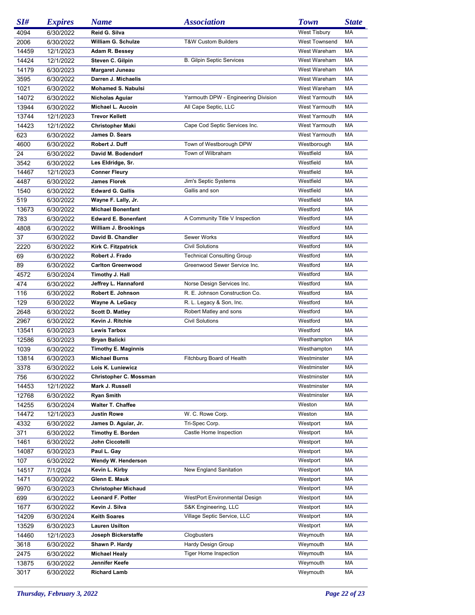| SI#   | <b>Expires</b> | <b>Name</b>                                        | <b>Association</b>                   | <b>Town</b>                | <b>State</b> |
|-------|----------------|----------------------------------------------------|--------------------------------------|----------------------------|--------------|
| 4094  | 6/30/2022      | Reid G. Silva                                      |                                      | <b>West Tisbury</b>        | МA           |
| 2006  | 6/30/2022      | William G. Schulze                                 | <b>T&amp;W Custom Builders</b>       | <b>West Townsend</b>       | MA           |
| 14459 | 12/1/2023      | Adam R. Bessey                                     |                                      | West Wareham               | MA           |
| 14424 | 12/1/2022      | Steven C. Gilpin                                   | <b>B. Gilpin Septic Services</b>     | West Wareham               | MA           |
| 14179 | 6/30/2023      | <b>Margaret Juneau</b>                             |                                      | West Wareham               | MA           |
| 3595  | 6/30/2022      | Darren J. Michaelis                                |                                      | West Wareham               | MA           |
| 1021  | 6/30/2022      | <b>Mohamed S. Nabulsi</b>                          |                                      | West Wareham               | MA           |
| 14072 | 6/30/2022      | Nicholas Aguiar                                    | Yarmouth DPW - Engineering Division  | <b>West Yarmouth</b>       | MA           |
| 13944 | 6/30/2022      | Michael L. Aucoin                                  | All Cape Septic, LLC                 | <b>West Yarmouth</b>       | MA           |
| 13744 | 12/1/2023      | <b>Trevor Kellett</b>                              |                                      | West Yarmouth              | MA           |
| 14423 | 12/1/2022      | <b>Christopher Maki</b>                            | Cape Cod Septic Services Inc.        | <b>West Yarmouth</b>       | MA           |
| 623   | 6/30/2022      | James D. Sears                                     |                                      | West Yarmouth              | MA           |
| 4600  | 6/30/2022      | Robert J. Duff                                     | Town of Westborough DPW              | Westborough                | MA           |
| 24    | 6/30/2022      | David M. Bodendorf                                 | Town of Wilbraham                    | Westfield                  | МA           |
| 3542  | 6/30/2022      | Les Eldridge, Sr.                                  |                                      | Westfield                  | MA           |
| 14467 | 12/1/2023      | <b>Conner Fleury</b>                               |                                      | Westfield                  | МA           |
| 4487  | 6/30/2022      | <b>James Florek</b>                                | Jim's Septic Systems                 | Westfield                  | МA           |
| 1540  | 6/30/2022      | <b>Edward G. Gallis</b>                            | Gallis and son                       | Westfield                  | MA           |
| 519   | 6/30/2022      | Wayne F. Lally, Jr.                                |                                      | Westfield                  | МA           |
| 13673 | 6/30/2022      | <b>Michael Bonenfant</b>                           |                                      | Westford                   | МA           |
| 783   | 6/30/2022      | <b>Edward E. Bonenfant</b>                         | A Community Title V Inspection       | Westford                   | MA           |
| 4808  | 6/30/2022      | William J. Brookings                               |                                      | Westford                   | МA           |
| 37    | 6/30/2022      | David B. Chandler                                  | Sewer Works                          | Westford                   | MA           |
| 2220  | 6/30/2022      | Kirk C. Fitzpatrick                                | <b>Civil Solutions</b>               | Westford                   | MA           |
| 69    | 6/30/2022      | Robert J. Frado                                    | <b>Technical Consulting Group</b>    | Westford                   | МA           |
| 89    | 6/30/2022      | <b>Carlton Greenwood</b>                           | Greenwood Sewer Service Inc.         | Westford                   | МA           |
| 4572  | 6/30/2024      | Timothy J. Hall                                    |                                      | Westford                   | MA           |
| 474   | 6/30/2022      | Jeffrey L. Hannaford                               | Norse Design Services Inc.           | Westford                   | МA           |
| 116   | 6/30/2022      | Robert E. Johnson                                  | R. E. Johnson Construction Co.       | Westford                   | MA           |
| 129   | 6/30/2022      | Wayne A. LeGacy                                    | R. L. Legacy & Son, Inc.             | Westford                   | МA           |
| 2648  | 6/30/2022      | <b>Scott D. Matley</b>                             | Robert Matley and sons               | Westford                   | МA           |
| 2967  | 6/30/2022      | Kevin J. Ritchie                                   | <b>Civil Solutions</b>               | Westford                   | MA           |
| 13541 | 6/30/2023      | <b>Lewis Tarbox</b>                                |                                      | Westford                   | MA           |
|       |                |                                                    |                                      |                            | МA           |
| 12586 | 6/30/2023      | <b>Bryan Balicki</b>                               |                                      | Westhampton<br>Westhampton | МA           |
| 1039  | 6/30/2022      | <b>Timothy E. Maginnis</b><br><b>Michael Burns</b> |                                      |                            |              |
| 13814 | 6/30/2023      |                                                    | Fitchburg Board of Health            | Westminster<br>Westminster | МA<br>MA     |
| 3378  | 6/30/2022      | Lois K. Luniewicz                                  |                                      |                            |              |
| 756   | 6/30/2022      | Christopher C. Mossman                             |                                      | Westminster                | МA           |
| 14453 | 12/1/2022      | Mark J. Russell                                    |                                      | Westminster                | МA           |
| 12768 | 6/30/2022      | <b>Ryan Smith</b>                                  |                                      | Westminster                | МA           |
| 14255 | 6/30/2024      | <b>Walter T. Chaffee</b>                           |                                      | Weston                     | МA           |
| 14472 | 12/1/2023      | Justin Rowe                                        | W. C. Rowe Corp.                     | Weston                     | МA           |
| 4332  | 6/30/2022      | James D. Aguiar, Jr.                               | Tri-Spec Corp.                       | Westport                   | МA           |
| 371   | 6/30/2022      | Timothy E. Borden                                  | Castle Home Inspection               | Westport                   | МA           |
| 1461  | 6/30/2022      | John Ciccotelli                                    |                                      | Westport                   | МA           |
| 14087 | 6/30/2023      | Paul L. Gay                                        |                                      | Westport                   | МA           |
| 107   | 6/30/2022      | Wendy W. Henderson                                 |                                      | Westport                   | МA           |
| 14517 | 7/1/2024       | Kevin L. Kirby                                     | New England Sanitation               | Westport                   | МA           |
| 1471  | 6/30/2022      | Glenn E. Mauk                                      |                                      | Westport                   | МA           |
| 9970  | 6/30/2023      | <b>Christopher Michaud</b>                         |                                      | Westport                   | МA           |
| 699   | 6/30/2022      | <b>Leonard F. Potter</b>                           | <b>WestPort Environmental Design</b> | Westport                   | МA           |
| 1677  | 6/30/2022      | Kevin J. Silva                                     | S&K Engineering, LLC                 | Westport                   | МA           |
| 14209 | 6/30/2024      | Keith Soares                                       | Village Septic Service, LLC          | Westport                   | МA           |
| 13529 | 6/30/2023      | <b>Lauren Usilton</b>                              |                                      | Westport                   | МA           |
| 14460 | 12/1/2023      | Joseph Bickerstaffe                                | Clogbusters                          | Weymouth                   | МA           |
| 3618  | 6/30/2022      | Shawn P. Hardy                                     | Hardy Design Group                   | Weymouth                   | МA           |
| 2475  | 6/30/2022      | <b>Michael Healy</b>                               | <b>Tiger Home Inspection</b>         | Weymouth                   | МA           |
| 13875 | 6/30/2022      | Jennifer Keefe                                     |                                      | Weymouth                   | МA           |
| 3017  | 6/30/2022      | <b>Richard Lamb</b>                                |                                      | Weymouth                   | МA           |